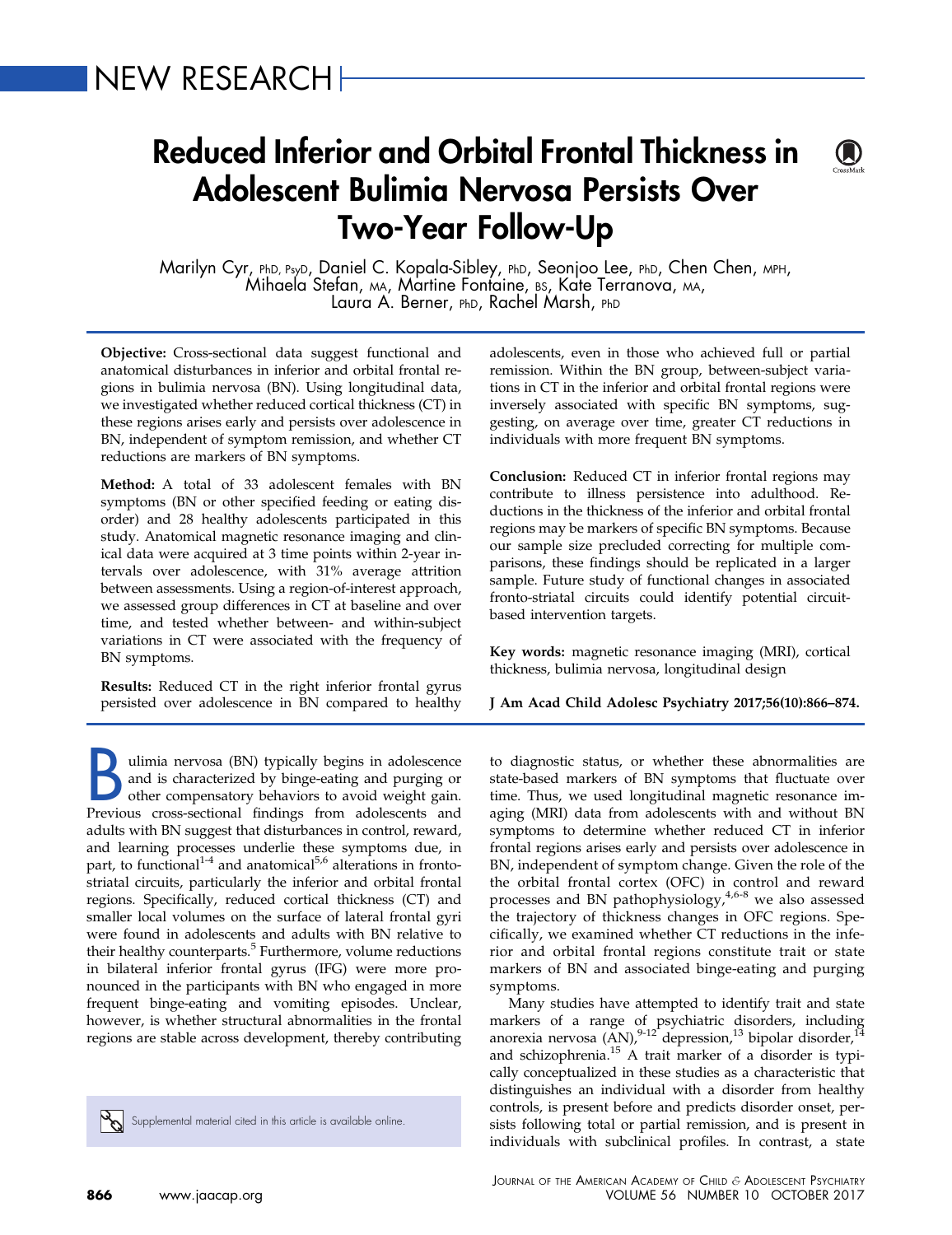# NEW RESEARCH

# Reduced Inferior and Orbital Frontal Thickness in Adolescent Bulimia Nervosa Persists Over Two-Year Follow-Up

Marilyn Cyr, PhD, PsyD, Daniel C. Kopala-Sibley, PhD, Seonjoo Lee, PhD, Chen Chen, MPH,<br>Mihaela Stefan, MA, Martine Fontaine, BS, Kate Terranova, MA,<br>Laura A. Berner, PhD, Rachel Marsh, PhD

Objective: Cross-sectional data suggest functional and anatomical disturbances in inferior and orbital frontal regions in bulimia nervosa (BN). Using longitudinal data, we investigated whether reduced cortical thickness (CT) in these regions arises early and persists over adolescence in BN, independent of symptom remission, and whether CT reductions are markers of BN symptoms.

Method: A total of 33 adolescent females with BN symptoms (BN or other specified feeding or eating disorder) and 28 healthy adolescents participated in this study. Anatomical magnetic resonance imaging and clinical data were acquired at 3 time points within 2-year intervals over adolescence, with 31% average attrition between assessments. Using a region-of-interest approach, we assessed group differences in CT at baseline and over time, and tested whether between- and within-subject variations in CT were associated with the frequency of BN symptoms.

Results: Reduced CT in the right inferior frontal gyrus persisted over adolescence in BN compared to healthy

Ulimia nervosa (BN) typically begins in adolescence<br>and is characterized by binge-eating and purging or<br>other compensatory behaviors to avoid weight gain.<br>Previous cross-sectional findings from adolescents and and is characterized by binge-eating and purging or other compensatory behaviors to avoid weight gain. Previous cross-sectional findings from adolescents and adults with BN suggest that disturbances in control, reward, and learning processes underlie these symptoms due, in part, to functional<sup>[1-4](#page-7-0)</sup> and anatomical<sup>[5,6](#page-7-0)</sup> alterations in frontostriatal circuits, particularly the inferior and orbital frontal regions. Specifically, reduced cortical thickness (CT) and smaller local volumes on the surface of lateral frontal gyri were found in adolescents and adults with BN relative to their healthy counterparts. $5$  Furthermore, volume reductions in bilateral inferior frontal gyrus (IFG) were more pronounced in the participants with BN who engaged in more frequent binge-eating and vomiting episodes. Unclear, however, is whether structural abnormalities in the frontal regions are stable across development, thereby contributing

Supplemental material cited in this article is available online.

adolescents, even in those who achieved full or partial remission. Within the BN group, between-subject variations in CT in the inferior and orbital frontal regions were inversely associated with specific BN symptoms, suggesting, on average over time, greater CT reductions in individuals with more frequent BN symptoms.

Conclusion: Reduced CT in inferior frontal regions may contribute to illness persistence into adulthood. Reductions in the thickness of the inferior and orbital frontal regions may be markers of specific BN symptoms. Because our sample size precluded correcting for multiple comparisons, these findings should be replicated in a larger sample. Future study of functional changes in associated fronto-striatal circuits could identify potential circuitbased intervention targets.

Key words: magnetic resonance imaging (MRI), cortical thickness, bulimia nervosa, longitudinal design

J Am Acad Child Adolesc Psychiatry 2017;56(10):866–874.

to diagnostic status, or whether these abnormalities are state-based markers of BN symptoms that fluctuate over time. Thus, we used longitudinal magnetic resonance imaging (MRI) data from adolescents with and without BN symptoms to determine whether reduced CT in inferior frontal regions arises early and persists over adolescence in BN, independent of symptom change. Given the role of the the orbital frontal cortex (OFC) in control and reward processes and BN pathophysiology, $4,6-8$  we also assessed the trajectory of thickness changes in OFC regions. Specifically, we examined whether CT reductions in the inferior and orbital frontal regions constitute trait or state markers of BN and associated binge-eating and purging symptoms.

Many studies have attempted to identify trait and state markers of a range of psychiatric disorders, including anorexia nervosa  $(AN)$ ,  $9-12$  depression,  $13$  bipolar disorder,  $14$ and schizophrenia.[15](#page-7-0) A trait marker of a disorder is typically conceptualized in these studies as a characteristic that distinguishes an individual with a disorder from healthy controls, is present before and predicts disorder onset, persists following total or partial remission, and is present in individuals with subclinical profiles. In contrast, a state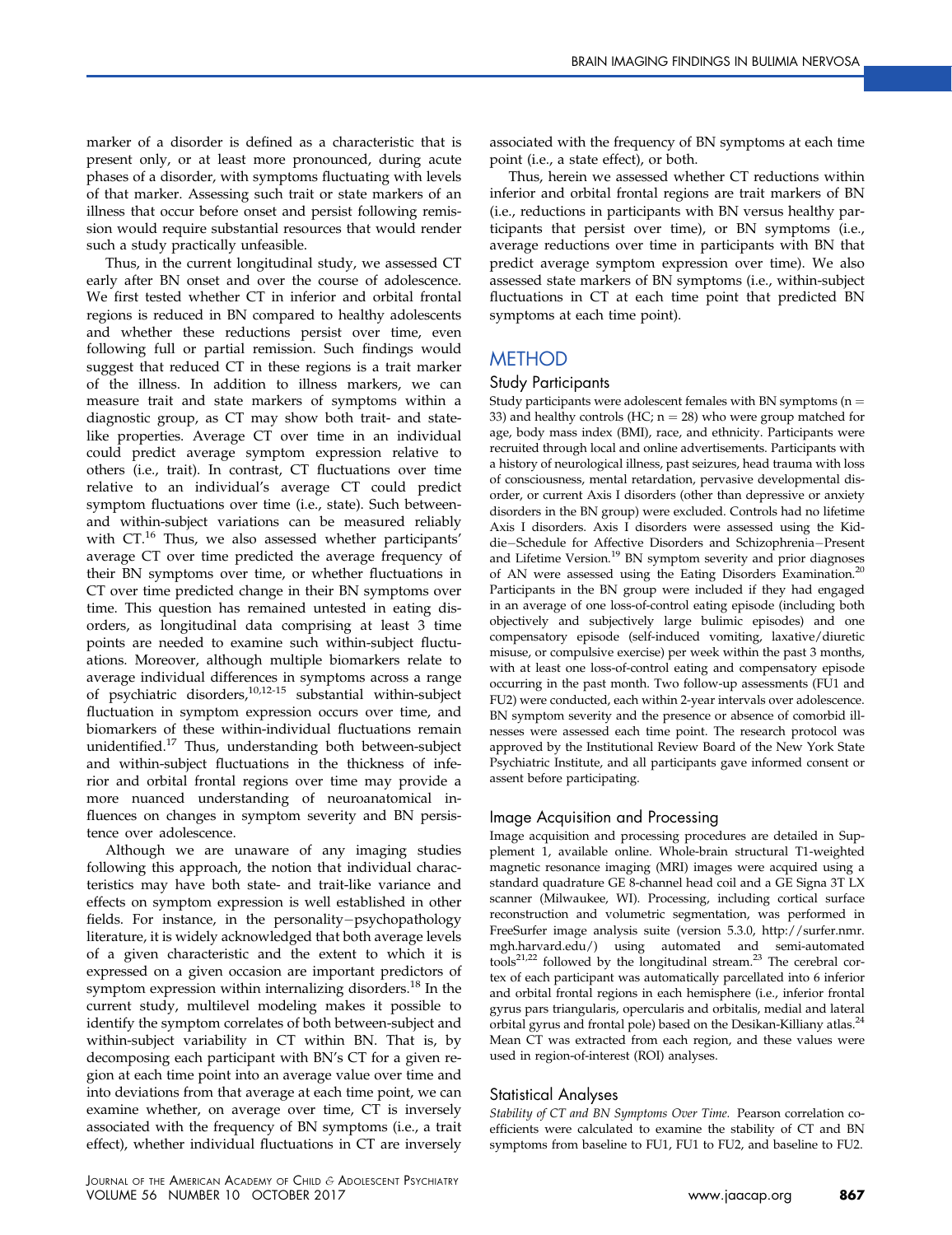marker of a disorder is defined as a characteristic that is present only, or at least more pronounced, during acute phases of a disorder, with symptoms fluctuating with levels of that marker. Assessing such trait or state markers of an illness that occur before onset and persist following remission would require substantial resources that would render such a study practically unfeasible.

Thus, in the current longitudinal study, we assessed CT early after BN onset and over the course of adolescence. We first tested whether CT in inferior and orbital frontal regions is reduced in BN compared to healthy adolescents and whether these reductions persist over time, even following full or partial remission. Such findings would suggest that reduced CT in these regions is a trait marker of the illness. In addition to illness markers, we can measure trait and state markers of symptoms within a diagnostic group, as CT may show both trait- and statelike properties. Average CT over time in an individual could predict average symptom expression relative to others (i.e., trait). In contrast, CT fluctuations over time relative to an individual's average CT could predict symptom fluctuations over time (i.e., state). Such betweenand within-subject variations can be measured reliably with CT.<sup>[16](#page-7-0)</sup> Thus, we also assessed whether participants' average CT over time predicted the average frequency of their BN symptoms over time, or whether fluctuations in CT over time predicted change in their BN symptoms over time. This question has remained untested in eating disorders, as longitudinal data comprising at least 3 time points are needed to examine such within-subject fluctuations. Moreover, although multiple biomarkers relate to average individual differences in symptoms across a range of psychiatric disorders,[10,12-15](#page-7-0) substantial within-subject fluctuation in symptom expression occurs over time, and biomarkers of these within-individual fluctuations remain unidentified[.17](#page-7-0) Thus, understanding both between-subject and within-subject fluctuations in the thickness of inferior and orbital frontal regions over time may provide a more nuanced understanding of neuroanatomical influences on changes in symptom severity and BN persistence over adolescence.

Although we are unaware of any imaging studies following this approach, the notion that individual characteristics may have both state- and trait-like variance and effects on symptom expression is well established in other fields. For instance, in the personality-psychopathology literature, it is widely acknowledged that both average levels of a given characteristic and the extent to which it is expressed on a given occasion are important predictors of symptom expression within internalizing disorders.<sup>[18](#page-7-0)</sup> In the current study, multilevel modeling makes it possible to identify the symptom correlates of both between-subject and within-subject variability in CT within BN. That is, by decomposing each participant with BN's CT for a given region at each time point into an average value over time and into deviations from that average at each time point, we can examine whether, on average over time, CT is inversely associated with the frequency of BN symptoms (i.e., a trait effect), whether individual fluctuations in CT are inversely

associated with the frequency of BN symptoms at each time point (i.e., a state effect), or both.

Thus, herein we assessed whether CT reductions within inferior and orbital frontal regions are trait markers of BN (i.e., reductions in participants with BN versus healthy participants that persist over time), or BN symptoms (i.e., average reductions over time in participants with BN that predict average symptom expression over time). We also assessed state markers of BN symptoms (i.e., within-subject fluctuations in CT at each time point that predicted BN symptoms at each time point).

## METHOD

#### Study Participants

Study participants were adolescent females with BN symptoms ( $n =$ 33) and healthy controls (HC;  $n = 28$ ) who were group matched for age, body mass index (BMI), race, and ethnicity. Participants were recruited through local and online advertisements. Participants with a history of neurological illness, past seizures, head trauma with loss of consciousness, mental retardation, pervasive developmental disorder, or current Axis I disorders (other than depressive or anxiety disorders in the BN group) were excluded. Controls had no lifetime Axis I disorders. Axis I disorders were assessed using the Kiddie-Schedule for Affective Disorders and Schizophrenia-Present and Lifetime Version.<sup>19</sup> BN symptom severity and prior diagnoses of AN were assessed using the Eating Disorders Examination.[20](#page-7-0) Participants in the BN group were included if they had engaged in an average of one loss-of-control eating episode (including both objectively and subjectively large bulimic episodes) and one compensatory episode (self-induced vomiting, laxative/diuretic misuse, or compulsive exercise) per week within the past 3 months, with at least one loss-of-control eating and compensatory episode occurring in the past month. Two follow-up assessments (FU1 and FU2) were conducted, each within 2-year intervals over adolescence. BN symptom severity and the presence or absence of comorbid illnesses were assessed each time point. The research protocol was approved by the Institutional Review Board of the New York State Psychiatric Institute, and all participants gave informed consent or assent before participating.

#### Image Acquisition and Processing

Image acquisition and processing procedures are detailed in Supplement 1, available online. Whole-brain structural T1-weighted magnetic resonance imaging (MRI) images were acquired using a standard quadrature GE 8-channel head coil and a GE Signa 3T LX scanner (Milwaukee, WI). Processing, including cortical surface reconstruction and volumetric segmentation, was performed in FreeSurfer image analysis suite (version 5.3.0, [http://surfer.nmr.](http://surfer.nmr.mgh.harvard.edu/) [mgh.harvard.edu/](http://surfer.nmr.mgh.harvard.edu/)) using automated and semi-automated tools<sup>21,22</sup> followed by the longitudinal stream.<sup>23</sup> The cerebral cortex of each participant was automatically parcellated into 6 inferior and orbital frontal regions in each hemisphere (i.e., inferior frontal gyrus pars triangularis, opercularis and orbitalis, medial and lateral orbital gyrus and frontal pole) based on the Desikan-Killiany atlas.<sup>24</sup> Mean CT was extracted from each region, and these values were used in region-of-interest (ROI) analyses.

#### Statistical Analyses

Stability of CT and BN Symptoms Over Time. Pearson correlation coefficients were calculated to examine the stability of CT and BN symptoms from baseline to FU1, FU1 to FU2, and baseline to FU2.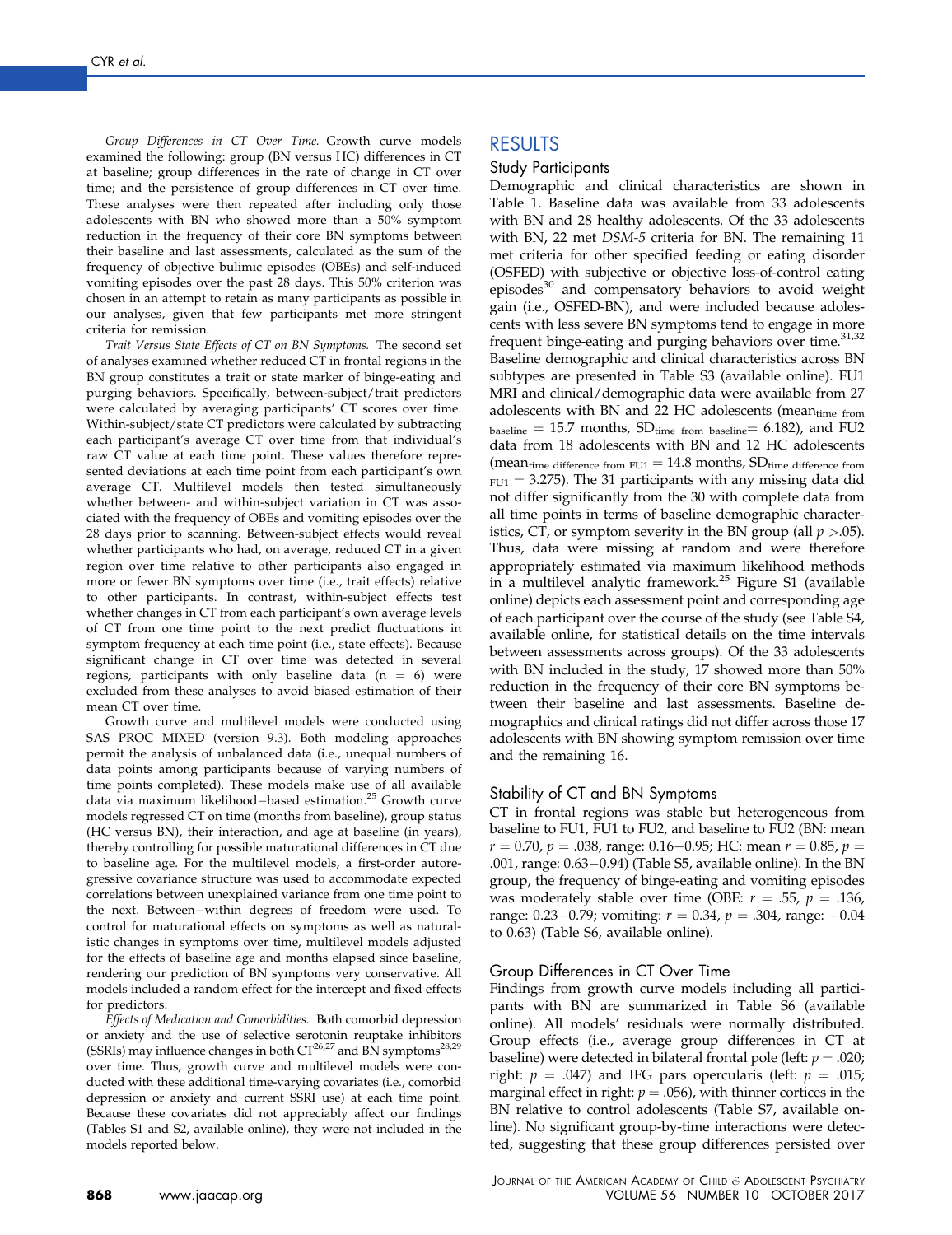Group Differences in CT Over Time. Growth curve models examined the following: group (BN versus HC) differences in CT at baseline; group differences in the rate of change in CT over time; and the persistence of group differences in CT over time. These analyses were then repeated after including only those adolescents with BN who showed more than a 50% symptom reduction in the frequency of their core BN symptoms between their baseline and last assessments, calculated as the sum of the frequency of objective bulimic episodes (OBEs) and self-induced vomiting episodes over the past 28 days. This 50% criterion was chosen in an attempt to retain as many participants as possible in our analyses, given that few participants met more stringent criteria for remission.

Trait Versus State Effects of CT on BN Symptoms. The second set of analyses examined whether reduced CT in frontal regions in the BN group constitutes a trait or state marker of binge-eating and purging behaviors. Specifically, between-subject/trait predictors were calculated by averaging participants' CT scores over time. Within-subject/state CT predictors were calculated by subtracting each participant's average CT over time from that individual's raw CT value at each time point. These values therefore represented deviations at each time point from each participant's own average CT. Multilevel models then tested simultaneously whether between- and within-subject variation in CT was associated with the frequency of OBEs and vomiting episodes over the 28 days prior to scanning. Between-subject effects would reveal whether participants who had, on average, reduced CT in a given region over time relative to other participants also engaged in more or fewer BN symptoms over time (i.e., trait effects) relative to other participants. In contrast, within-subject effects test whether changes in CT from each participant's own average levels of CT from one time point to the next predict fluctuations in symptom frequency at each time point (i.e., state effects). Because significant change in CT over time was detected in several regions, participants with only baseline data  $(n = 6)$  were excluded from these analyses to avoid biased estimation of their mean CT over time.

Growth curve and multilevel models were conducted using SAS PROC MIXED (version 9.3). Both modeling approaches permit the analysis of unbalanced data (i.e., unequal numbers of data points among participants because of varying numbers of time points completed). These models make use of all available data via maximum likelihood-based estimation.<sup>[25](#page-7-0)</sup> Growth curve models regressed CT on time (months from baseline), group status (HC versus BN), their interaction, and age at baseline (in years), thereby controlling for possible maturational differences in CT due to baseline age. For the multilevel models, a first-order autoregressive covariance structure was used to accommodate expected correlations between unexplained variance from one time point to the next. Between-within degrees of freedom were used. To control for maturational effects on symptoms as well as naturalistic changes in symptoms over time, multilevel models adjusted for the effects of baseline age and months elapsed since baseline, rendering our prediction of BN symptoms very conservative. All models included a random effect for the intercept and fixed effects for predictors.

Effects of Medication and Comorbidities. Both comorbid depression or anxiety and the use of selective serotonin reuptake inhibitors (SSRIs) may influence changes in both  $CT^{26,27}$  $CT^{26,27}$  $CT^{26,27}$  and BN symptoms<sup>28,29</sup> over time. Thus, growth curve and multilevel models were conducted with these additional time-varying covariates (i.e., comorbid depression or anxiety and current SSRI use) at each time point. Because these covariates did not appreciably affect our findings [\(Tables S1](#page-10-0) and [S2](#page-11-0), available online), they were not included in the models reported below.

## RESULTS

#### Study Participants

Demographic and clinical characteristics are shown in [Table 1](#page-3-0). Baseline data was available from 33 adolescents with BN and 28 healthy adolescents. Of the 33 adolescents with BN, 22 met DSM-5 criteria for BN. The remaining 11 met criteria for other specified feeding or eating disorder (OSFED) with subjective or objective loss-of-control eating episodes $30$  and compensatory behaviors to avoid weight gain (i.e., OSFED-BN), and were included because adolescents with less severe BN symptoms tend to engage in more frequent binge-eating and purging behaviors over time. $31,32$ Baseline demographic and clinical characteristics across BN subtypes are presented in [Table S3](#page-11-0) (available online). FU1 MRI and clinical/demographic data were available from 27 adolescents with BN and 22 HC adolescents (meantime from  $b$ aseline = 15.7 months,  $SD$ <sub>time from baseline</sub> = 6.182), and FU2 data from 18 adolescents with BN and 12 HC adolescents (mean<sub>time difference from FU1</sub>  $=$  14.8 months, SD<sub>time difference from</sub>  $_{\text{FU1}}$  = 3.275). The 31 participants with any missing data did not differ significantly from the 30 with complete data from all time points in terms of baseline demographic characteristics, CT, or symptom severity in the BN group (all  $p > 0.05$ ). Thus, data were missing at random and were therefore appropriately estimated via maximum likelihood methods in a multilevel analytic framework.<sup>[25](#page-7-0)</sup> [Figure S1](#page-9-0) (available online) depicts each assessment point and corresponding age of each participant over the course of the study (see [Table S4,](#page-12-0) available online, for statistical details on the time intervals between assessments across groups). Of the 33 adolescents with BN included in the study, 17 showed more than 50% reduction in the frequency of their core BN symptoms between their baseline and last assessments. Baseline demographics and clinical ratings did not differ across those 17 adolescents with BN showing symptom remission over time and the remaining 16.

#### Stability of CT and BN Symptoms

CT in frontal regions was stable but heterogeneous from baseline to FU1, FU1 to FU2, and baseline to FU2 (BN: mean  $r = 0.70$ ,  $p = .038$ , range: 0.16–0.95; HC: mean  $r = 0.85$ ,  $p =$ .001, range:  $0.63-0.94$ ) ([Table S5,](#page-12-0) available online). In the BN group, the frequency of binge-eating and vomiting episodes was moderately stable over time (OBE:  $r = .55$ ,  $p = .136$ , range: 0.23–0.79; vomiting:  $r = 0.34$ ,  $p = .304$ , range: -0.04 to 0.63) ([Table S6](#page-13-0), available online).

#### Group Differences in CT Over Time

Findings from growth curve models including all participants with BN are summarized in [Table S6](#page-13-0) (available online). All models' residuals were normally distributed. Group effects (i.e., average group differences in CT at baseline) were detected in bilateral frontal pole (left:  $p = .020$ ; right:  $p = .047$ ) and IFG pars opercularis (left:  $p = .015$ ; marginal effect in right:  $p = .056$ ), with thinner cortices in the BN relative to control adolescents [\(Table S7,](#page-13-0) available online). No significant group-by-time interactions were detected, suggesting that these group differences persisted over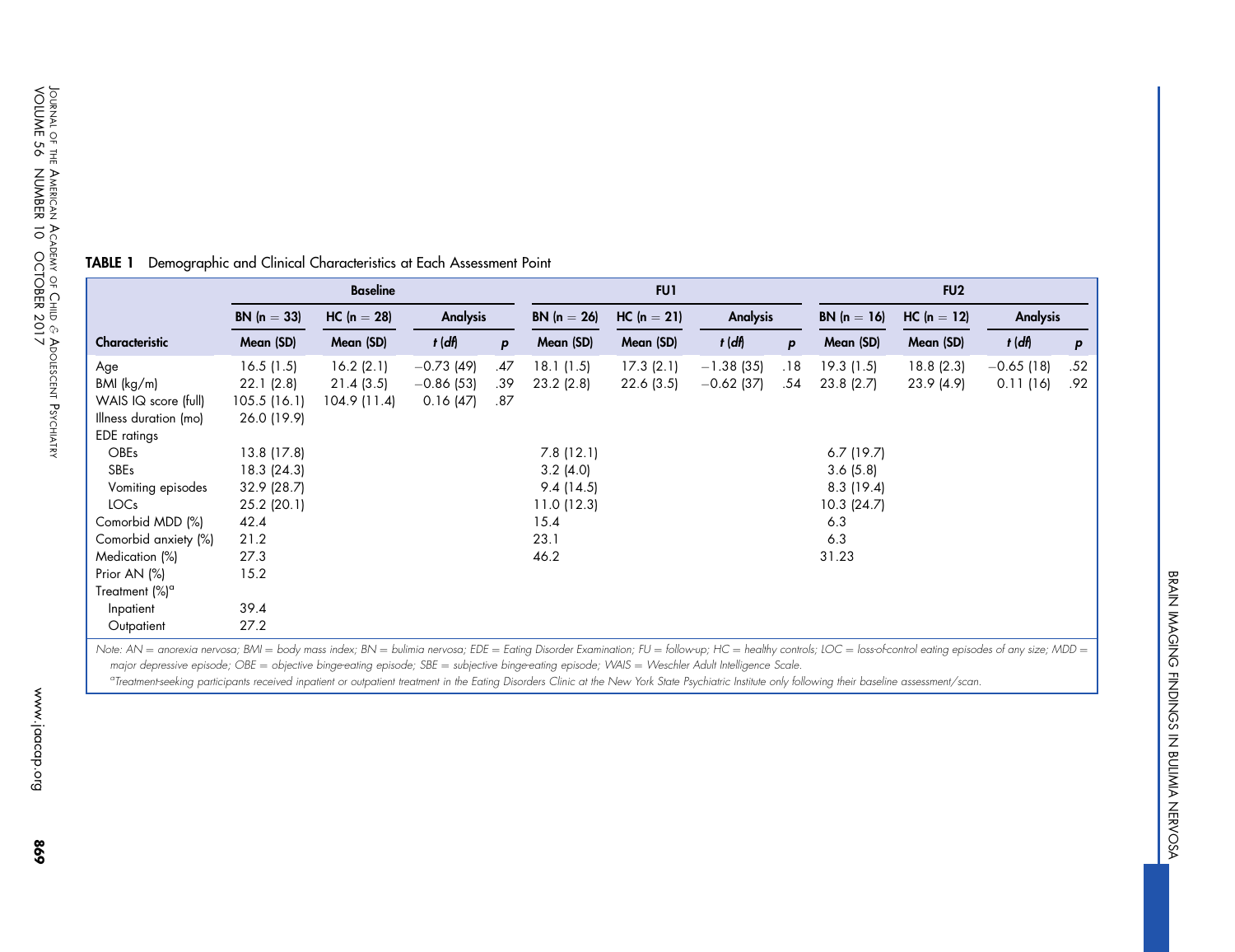|                            |                      | <b>Baseline</b> |                 |              |               | FU1           |              |     |              | FU <sub>2</sub> |                 |              |
|----------------------------|----------------------|-----------------|-----------------|--------------|---------------|---------------|--------------|-----|--------------|-----------------|-----------------|--------------|
|                            | <b>BN</b> $(n = 33)$ | $HC (n = 28)$   | <b>Analysis</b> |              | $BN (n = 26)$ | $HC (n = 21)$ | Analysis     |     | $BN(n = 16)$ | $HC (n = 12)$   | <b>Analysis</b> |              |
| Characteristic             | Mean (SD)            | Mean (SD)       | $t$ (df)        | $\mathbf{p}$ | Mean (SD)     | Mean (SD)     | $t$ (df)     | p   | Mean (SD)    | Mean (SD)       | $t$ (df)        | $\mathsf{P}$ |
| Age                        | 16.5(1.5)            | 16.2(2.1)       | $-0.73(49)$     | .47          | 18.1(1.5)     | 17.3(2.1)     | $-1.38(35)$  | .18 | 19.3(1.5)    | 18.8(2.3)       | $-0.65$ (18)    | .52          |
| BMI (kg/m)                 | 22.1(2.8)            | 21.4(3.5)       | $-0.86$ (53)    | .39          | $23.2$ (2.8)  | 22.6(3.5)     | $-0.62$ (37) | .54 | 23.8(2.7)    | 23.9 (4.9)      | 0.11(16)        | .92          |
| WAIS IQ score (full)       | 105.5(16.1)          | 104.9 (11.4)    | 0.16(47)        | .87          |               |               |              |     |              |                 |                 |              |
| Illness duration (mo)      | 26.0 (19.9)          |                 |                 |              |               |               |              |     |              |                 |                 |              |
| <b>EDE</b> ratings         |                      |                 |                 |              |               |               |              |     |              |                 |                 |              |
| <b>OBEs</b>                | 13.8 (17.8)          |                 |                 |              | 7.8(12.1)     |               |              |     | $6.7$ (19.7) |                 |                 |              |
| SBEs                       | 18.3 (24.3)          |                 |                 |              | $3.2$ (4.0)   |               |              |     | 3.6(5.8)     |                 |                 |              |
| Vomiting episodes          | 32.9 (28.7)          |                 |                 |              | 9.4(14.5)     |               |              |     | 8.3(19.4)    |                 |                 |              |
| LOC <sub>s</sub>           | $25.2$ (20.1)        |                 |                 |              | 11.0(12.3)    |               |              |     | 10.3(24.7)   |                 |                 |              |
| Comorbid MDD (%)           | 42.4                 |                 |                 |              | 15.4          |               |              |     | 6.3          |                 |                 |              |
| Comorbid anxiety (%)       | 21.2                 |                 |                 |              | 23.1          |               |              |     | 6.3          |                 |                 |              |
| Medication (%)             | 27.3                 |                 |                 |              | 46.2          |               |              |     | 31.23        |                 |                 |              |
| Prior AN (%)               | 15.2                 |                 |                 |              |               |               |              |     |              |                 |                 |              |
| Treatment (%) <sup>a</sup> |                      |                 |                 |              |               |               |              |     |              |                 |                 |              |
| Inpatient                  | 39.4                 |                 |                 |              |               |               |              |     |              |                 |                 |              |
| Outpatient                 | 27.2                 |                 |                 |              |               |               |              |     |              |                 |                 |              |

## <span id="page-3-0"></span>TABLE 1 Demographic and Clinical Characteristics at Each Assessment Point

Note: AN = anorexia nervosa; BMI = body mass index; BN = bulimia nervosa; EDE = Eating Disorder Examination; FU = follow-up; HC = healthy controls; LOC = loss-of-control eating episodes of any size; MDD = major depressive episode; OBE = objective binge-eating episode; SBE = subjective binge-eating episode; WAIS = Weschler Adult Intelligence Scale.

<sup>a</sup>Treatment-seeking participants received inpatient or outpatient treatment in the Eating Disorders Clinic at the New York State Psychiatric Institute only following their baseline assessment/scan.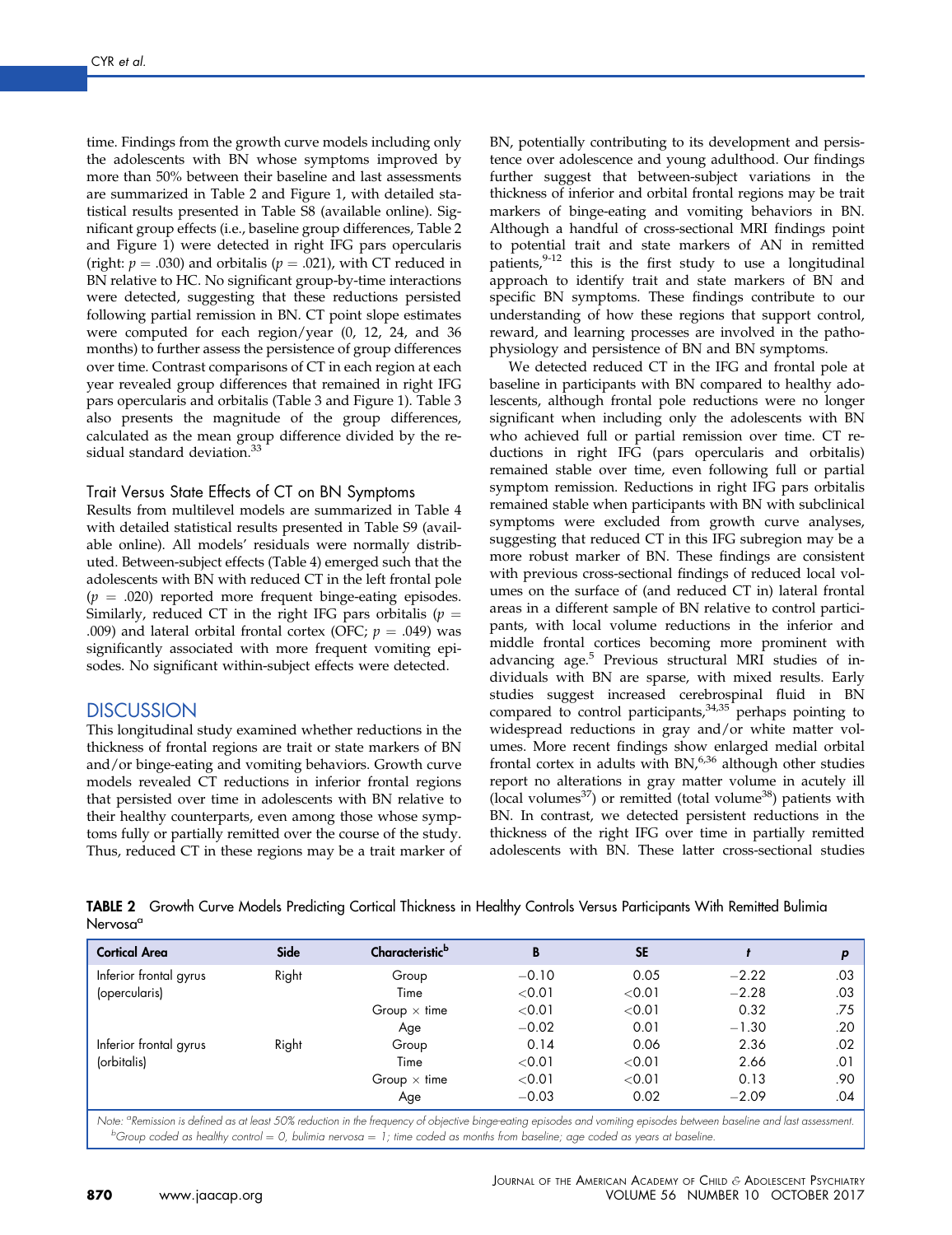<span id="page-4-0"></span>time. Findings from the growth curve models including only the adolescents with BN whose symptoms improved by more than 50% between their baseline and last assessments are summarized in Table 2 and [Figure 1](#page-5-0), with detailed statistical results presented in [Table S8](#page-14-0) (available online). Significant group effects (i.e., baseline group differences, Table 2 and [Figure 1\)](#page-5-0) were detected in right IFG pars opercularis (right:  $p = .030$ ) and orbitalis ( $p = .021$ ), with CT reduced in BN relative to HC. No significant group-by-time interactions were detected, suggesting that these reductions persisted following partial remission in BN. CT point slope estimates were computed for each region/year (0, 12, 24, and 36 months) to further assess the persistence of group differences over time. Contrast comparisons of CT in each region at each year revealed group differences that remained in right IFG pars opercularis and orbitalis ([Table 3](#page-6-0) and [Figure 1](#page-5-0)). [Table 3](#page-6-0) also presents the magnitude of the group differences, calculated as the mean group difference divided by the re-sidual standard deviation.<sup>[33](#page-8-0)</sup>

## Trait Versus State Effects of CT on BN Symptoms

Results from multilevel models are summarized in [Table 4](#page-6-0) with detailed statistical results presented in [Table S9](#page-15-0) (available online). All models' residuals were normally distributed. Between-subject effects ([Table 4\)](#page-6-0) emerged such that the adolescents with BN with reduced CT in the left frontal pole  $(p = .020)$  reported more frequent binge-eating episodes. Similarly, reduced CT in the right IFG pars orbitalis ( $p =$ .009) and lateral orbital frontal cortex (OFC;  $p = .049$ ) was significantly associated with more frequent vomiting episodes. No significant within-subject effects were detected.

## **DISCUSSION**

This longitudinal study examined whether reductions in the thickness of frontal regions are trait or state markers of BN and/or binge-eating and vomiting behaviors. Growth curve models revealed CT reductions in inferior frontal regions that persisted over time in adolescents with BN relative to their healthy counterparts, even among those whose symptoms fully or partially remitted over the course of the study. Thus, reduced CT in these regions may be a trait marker of BN, potentially contributing to its development and persistence over adolescence and young adulthood. Our findings further suggest that between-subject variations in the thickness of inferior and orbital frontal regions may be trait markers of binge-eating and vomiting behaviors in BN. Although a handful of cross-sectional MRI findings point to potential trait and state markers of AN in remitted patients, [9-12](#page-7-0) this is the first study to use a longitudinal approach to identify trait and state markers of BN and specific BN symptoms. These findings contribute to our understanding of how these regions that support control, reward, and learning processes are involved in the pathophysiology and persistence of BN and BN symptoms.

We detected reduced CT in the IFG and frontal pole at baseline in participants with BN compared to healthy adolescents, although frontal pole reductions were no longer significant when including only the adolescents with BN who achieved full or partial remission over time. CT reductions in right IFG (pars opercularis and orbitalis) remained stable over time, even following full or partial symptom remission. Reductions in right IFG pars orbitalis remained stable when participants with BN with subclinical symptoms were excluded from growth curve analyses, suggesting that reduced CT in this IFG subregion may be a more robust marker of BN. These findings are consistent with previous cross-sectional findings of reduced local volumes on the surface of (and reduced CT in) lateral frontal areas in a different sample of BN relative to control participants, with local volume reductions in the inferior and middle frontal cortices becoming more prominent with advancing age.<sup>[5](#page-7-0)</sup> Previous structural MRI studies of individuals with BN are sparse, with mixed results. Early studies suggest increased cerebrospinal fluid in BN compared to control participants,  $34,35$  perhaps pointing to widespread reductions in gray and/or white matter volumes. More recent findings show enlarged medial orbital frontal cortex in adults with BN,<sup>[6,36](#page-7-0)</sup> although other studies report no alterations in gray matter volume in acutely ill (local volumes $^{37}$  $^{37}$  $^{37}$ ) or remitted (total volume $^{38}$ ) patients with BN. In contrast, we detected persistent reductions in the thickness of the right IFG over time in partially remitted adolescents with BN. These latter cross-sectional studies

TABLE 2 Growth Curve Models Predicting Cortical Thickness in Healthy Controls Versus Participants With Remitted Bulimia Nervosa<sup>a</sup>

| <b>Cortical Area</b>   | Side  | Characteristic <sup>b</sup> | B       | <b>SE</b> |         | D   |
|------------------------|-------|-----------------------------|---------|-----------|---------|-----|
| Inferior frontal gyrus | Right | Group                       | $-0.10$ | 0.05      | $-2.22$ | .03 |
| (opercularis)          |       | Time                        | < 0.01  | < 0.01    | $-2.28$ | .03 |
|                        |       | Group $\times$ time         | < 0.01  | < 0.01    | 0.32    | .75 |
|                        |       | Age                         | $-0.02$ | 0.01      | $-1.30$ | .20 |
| Inferior frontal gyrus | Right | Group                       | 0.14    | 0.06      | 2.36    | .02 |
| (orbitalis)            |       | Time                        | < 0.01  | < 0.01    | 2.66    | .01 |
|                        |       | Group $\times$ time         | < 0.01  | < 0.01    | 0.13    | .90 |
|                        |       | Age                         | $-0.03$ | 0.02      | $-2.09$ | .04 |

Note: <sup>a</sup> Remission is defined as at least 50% reduction in the frequency of objective binge-eating episodes and vomiting episodes between baseline and last assessment.  $^b$ Group coded as healthy control = 0, bulimia nervosa = 1; time coded as months from baseline; age coded as years at baseline.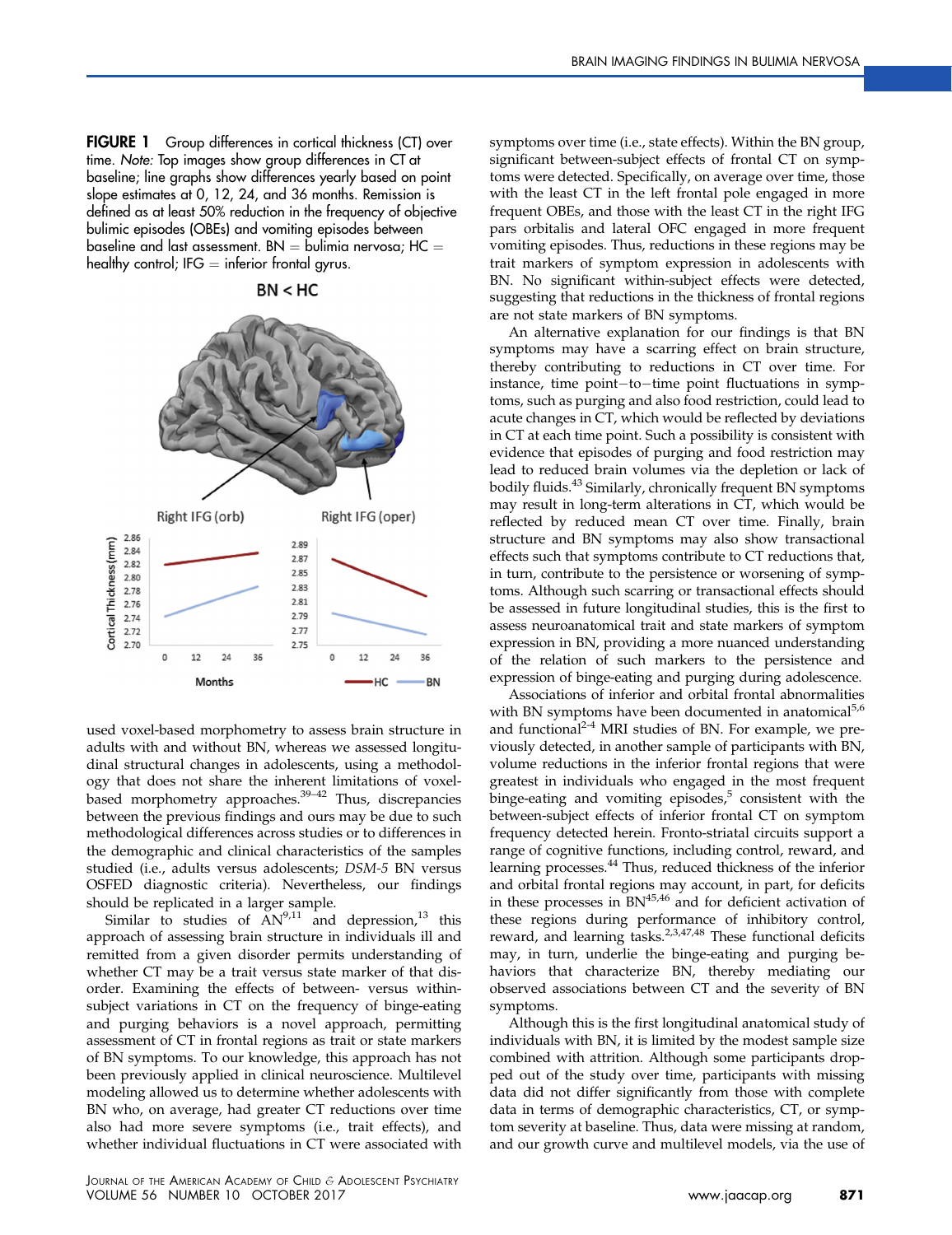<span id="page-5-0"></span>FIGURE 1 Group differences in cortical thickness (CT) over time. Note: Top images show group differences in CT at baseline; line graphs show differences yearly based on point slope estimates at 0, 12, 24, and 36 months. Remission is defined as at least 50% reduction in the frequency of objective bulimic episodes (OBEs) and vomiting episodes between baseline and last assessment. BN  $=$  bulimia nervosa; HC  $=$ healthy control; IFG  $=$  inferior frontal gyrus.



 $BN < HC$ 

used voxel-based morphometry to assess brain structure in adults with and without BN, whereas we assessed longitudinal structural changes in adolescents, using a methodology that does not share the inherent limitations of voxel-based morphometry approaches.<sup>[39](#page-8-0)–42</sup> Thus, discrepancies between the previous findings and ours may be due to such methodological differences across studies or to differences in the demographic and clinical characteristics of the samples studied (i.e., adults versus adolescents; DSM-5 BN versus OSFED diagnostic criteria). Nevertheless, our findings should be replicated in a larger sample.

Similar to studies of  $AN^{9,11}$  $AN^{9,11}$  $AN^{9,11}$  and depression,<sup>[13](#page-7-0)</sup> this approach of assessing brain structure in individuals ill and remitted from a given disorder permits understanding of whether CT may be a trait versus state marker of that disorder. Examining the effects of between- versus withinsubject variations in CT on the frequency of binge-eating and purging behaviors is a novel approach, permitting assessment of CT in frontal regions as trait or state markers of BN symptoms. To our knowledge, this approach has not been previously applied in clinical neuroscience. Multilevel modeling allowed us to determine whether adolescents with BN who, on average, had greater CT reductions over time also had more severe symptoms (i.e., trait effects), and whether individual fluctuations in CT were associated with symptoms over time (i.e., state effects). Within the BN group, significant between-subject effects of frontal CT on symptoms were detected. Specifically, on average over time, those with the least CT in the left frontal pole engaged in more frequent OBEs, and those with the least CT in the right IFG pars orbitalis and lateral OFC engaged in more frequent vomiting episodes. Thus, reductions in these regions may be trait markers of symptom expression in adolescents with BN. No significant within-subject effects were detected, suggesting that reductions in the thickness of frontal regions are not state markers of BN symptoms.

An alternative explanation for our findings is that BN symptoms may have a scarring effect on brain structure, thereby contributing to reductions in CT over time. For instance, time point-to-time point fluctuations in symptoms, such as purging and also food restriction, could lead to acute changes in CT, which would be reflected by deviations in CT at each time point. Such a possibility is consistent with evidence that episodes of purging and food restriction may lead to reduced brain volumes via the depletion or lack of bodily fluids.[43](#page-8-0) Similarly, chronically frequent BN symptoms may result in long-term alterations in CT, which would be reflected by reduced mean CT over time. Finally, brain structure and BN symptoms may also show transactional effects such that symptoms contribute to CT reductions that, in turn, contribute to the persistence or worsening of symptoms. Although such scarring or transactional effects should be assessed in future longitudinal studies, this is the first to assess neuroanatomical trait and state markers of symptom expression in BN, providing a more nuanced understanding of the relation of such markers to the persistence and expression of binge-eating and purging during adolescence.

Associations of inferior and orbital frontal abnormalities with BN symptoms have been documented in anatomical $5.6$ and functional $2-4$  MRI studies of BN. For example, we previously detected, in another sample of participants with BN, volume reductions in the inferior frontal regions that were greatest in individuals who engaged in the most frequent binge-eating and vomiting episodes, $5$  consistent with the between-subject effects of inferior frontal CT on symptom frequency detected herein. Fronto-striatal circuits support a range of cognitive functions, including control, reward, and learning processes.<sup>[44](#page-8-0)</sup> Thus, reduced thickness of the inferior and orbital frontal regions may account, in part, for deficits in these processes in  $BN^{45,46}$  $BN^{45,46}$  $BN^{45,46}$  and for deficient activation of these regions during performance of inhibitory control, reward, and learning tasks.<sup>[2,3,47,48](#page-7-0)</sup> These functional deficits may, in turn, underlie the binge-eating and purging behaviors that characterize BN, thereby mediating our observed associations between CT and the severity of BN symptoms.

Although this is the first longitudinal anatomical study of individuals with BN, it is limited by the modest sample size combined with attrition. Although some participants dropped out of the study over time, participants with missing data did not differ significantly from those with complete data in terms of demographic characteristics, CT, or symptom severity at baseline. Thus, data were missing at random, and our growth curve and multilevel models, via the use of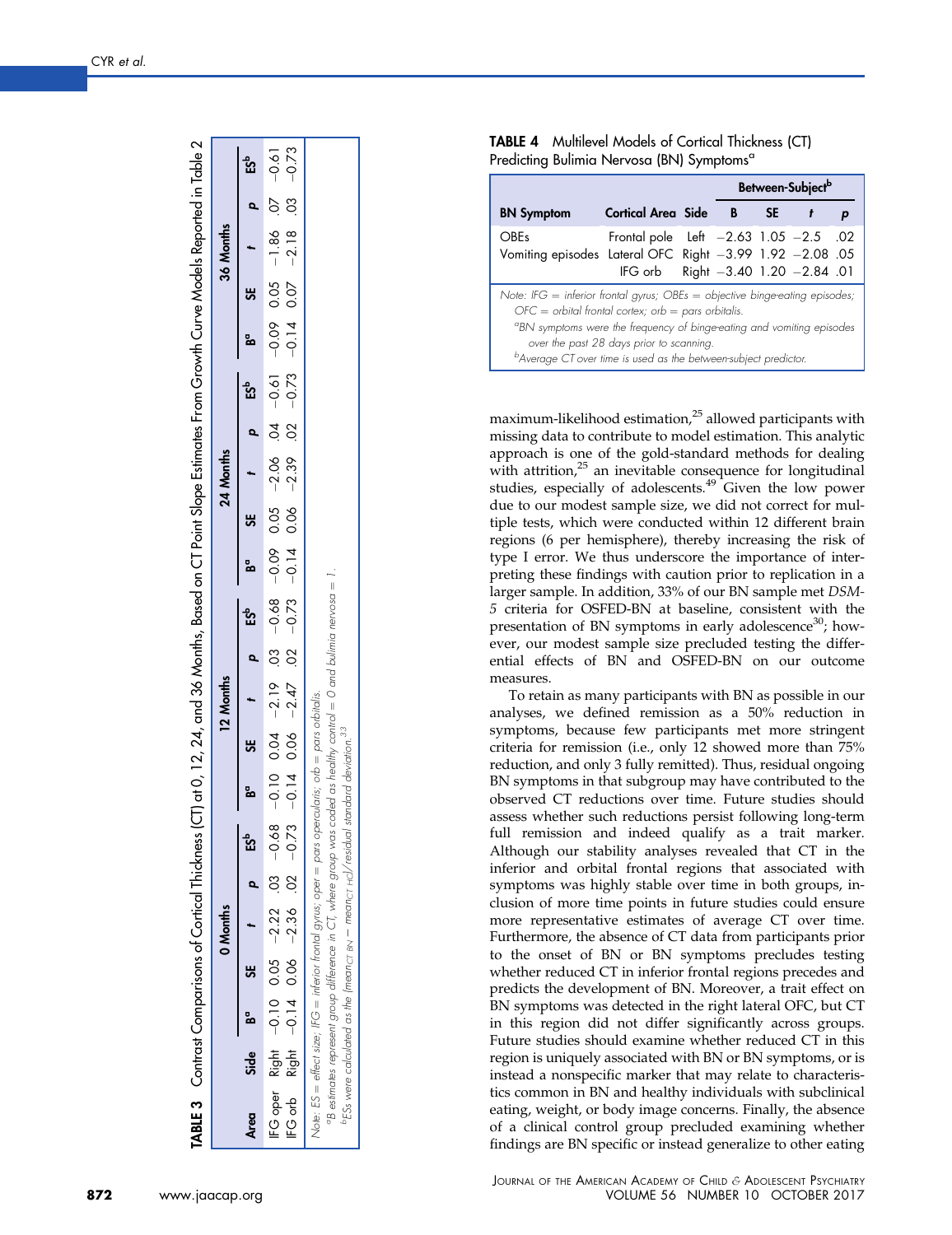<span id="page-6-0"></span>

|      |      |          |          | TABLE 3 Contrast Comparisons of Cortical Thickness (CT) at 0, 12, 24, and 36 Months, Based on CT Point Slope Estimates From Growth Curve Models Reported in Table 2                                                                                                                                                                                                                      |         |           |                      |        |           |                               |         |           |                   |
|------|------|----------|----------|------------------------------------------------------------------------------------------------------------------------------------------------------------------------------------------------------------------------------------------------------------------------------------------------------------------------------------------------------------------------------------------|---------|-----------|----------------------|--------|-----------|-------------------------------|---------|-----------|-------------------|
|      |      |          | 0 Months |                                                                                                                                                                                                                                                                                                                                                                                          |         | 12 Months |                      |        | 24 Months |                               |         | 36 Months |                   |
| Area | Side | Ba<br>SE |          | <b>ES<sup>b</sup></b>                                                                                                                                                                                                                                                                                                                                                                    | $Bc$ 3E |           | e<br>ES <sup>b</sup> | រ<br>ន |           | $\frac{1}{2}$ ES <sup>b</sup> | $Bc$ SE |           | p ES <sup>b</sup> |
|      |      |          |          | IFG orb Right -0.14 0.06 -2.36 02 -2.36 02 -2.36 02 -2.47 -0.14 0.06 -2.37 -0.14 0.06 -2.36 0.27 -0.79 -0.79 -0.79<br>$1910 - 20$ $101 - 9010 - 9010 - 9010 - 9010 - 9010 - 9010 - 8910 - 8010 - 8010 - 8010 - 8010 - 8010 - 8010 - 8010 - 8010 - 8010 - 8010 - 8010 - 8010 - 8010 - 8010 - 8010 - 8010 - 8010 - 8010 - 8010 - 8010 - 8010 - 8010 - 8010 - 8010 - 8010 - 8010 - 8010 - $ |         |           |                      |        |           |                               |         |           |                   |
|      |      |          |          | "B estimates represent group difference in CT, where group was coded as healthy control = 0 and bulimia nervosa = 1<br>Note: ES = effect size; IFG = inferior frontal gyrus; oper = pars opercularis; orb = pars orbitalis.<br>$^{\rm b}$ ESs were calculated as the (mean $_{\rm C1~BN}$ – mean $_{\rm C1~HCl}/$ residual standard deviation. $^{33}$                                   |         |           |                      |        |           |                               |         |           |                   |

| <b>TABLE 4</b> Multilevel Models of Cortical Thickness (CT) |  |
|-------------------------------------------------------------|--|
| Predicting Bulimia Nervosa (BN) Symptoms <sup>a</sup>       |  |

|                                                                                                                                                                                                                                                                                                |                                                                                 |  |      | Between-Subject <sup>b</sup> |  |
|------------------------------------------------------------------------------------------------------------------------------------------------------------------------------------------------------------------------------------------------------------------------------------------------|---------------------------------------------------------------------------------|--|------|------------------------------|--|
| <b>BN</b> Symptom                                                                                                                                                                                                                                                                              | Cortical Area Side B                                                            |  | SE 1 |                              |  |
| <b>OBEs</b><br>Vomiting episodes Lateral OFC Right -3.99 1.92 -2.08 .05                                                                                                                                                                                                                        | Frontal pole Left $-2.63$ 1.05 $-2.5$ .02<br>IFG orb Right -3.40 1.20 -2.84 .01 |  |      |                              |  |
| Note: IFG = inferior frontal gyrus; $OBEs = objective$ binge-eating episodes;<br>$OFC = orbital$ frontal cortex; orb = pars orbitalis.<br>"BN symptoms were the frequency of binge-eating and vomiting episodes<br><sup>b</sup> Average CT over time is used as the between-subject predictor. | over the past 28 days prior to scanning.                                        |  |      |                              |  |

maximum-likelihood estimation,<sup>[25](#page-7-0)</sup> allowed participants with missing data to contribute to model estimation. This analytic approach is one of the gold-standard methods for dealing with attrition,<sup>[25](#page-7-0)</sup> an inevitable consequence for longitudinal studies, especially of adolescents.<sup>[49](#page-8-0)</sup> Given the low power due to our modest sample size, we did not correct for multiple tests, which were conducted within 12 different brain regions (6 per hemisphere), thereby increasing the risk of type I error. We thus underscore the importance of interpreting these findings with caution prior to replication in a larger sample. In addition, 33% of our BN sample met DSM-<br>5 criteria for OSFED-BN at baseline, consistent with the presentation of BN symptoms in early adolescence<sup>[30](#page-7-0)</sup>; however, our modest sample size precluded testing the differential effects of BN and OSFED-BN on our outcome measures.

To retain as many participants with BN as possible in our analyses, we de fined remission as a 50% reduction in symptoms, because few participants met more stringent criteria for remission (i.e., only 12 showed more than 75% reduction, and only 3 fully remitted). Thus, residual ongoing BN symptoms in that subgroup may have contributed to the observed CT reductions over time. Future studies should assess whether such reductions persist following long-term full remission and indeed qualify as a trait marker. Although our stability analyses revealed that CT in the inferior and orbital frontal regions that associated with symptoms was highly stable over time in both groups, inclusion of more time points in future studies could ensure more representative estimates of average CT over time. Furthermore, the absence of CT data from participants prior to the onset of BN or BN symptoms precludes testing whether reduced CT in inferior frontal regions precedes and predicts the development of BN. Moreover, a trait effect on BN symptoms was detected in the right lateral OFC, but CT in this region did not differ signi ficantly across groups. Future studies should examine whether reduced CT in this region is uniquely associated with BN or BN symptoms, or is instead a nonspeci fic marker that may relate to characteristics common in BN and healthy individuals with subclinical eating, weight, or body image concerns. Finally, the absence of a clinical control group precluded examining whether findings are BN specific or instead generalize to other eating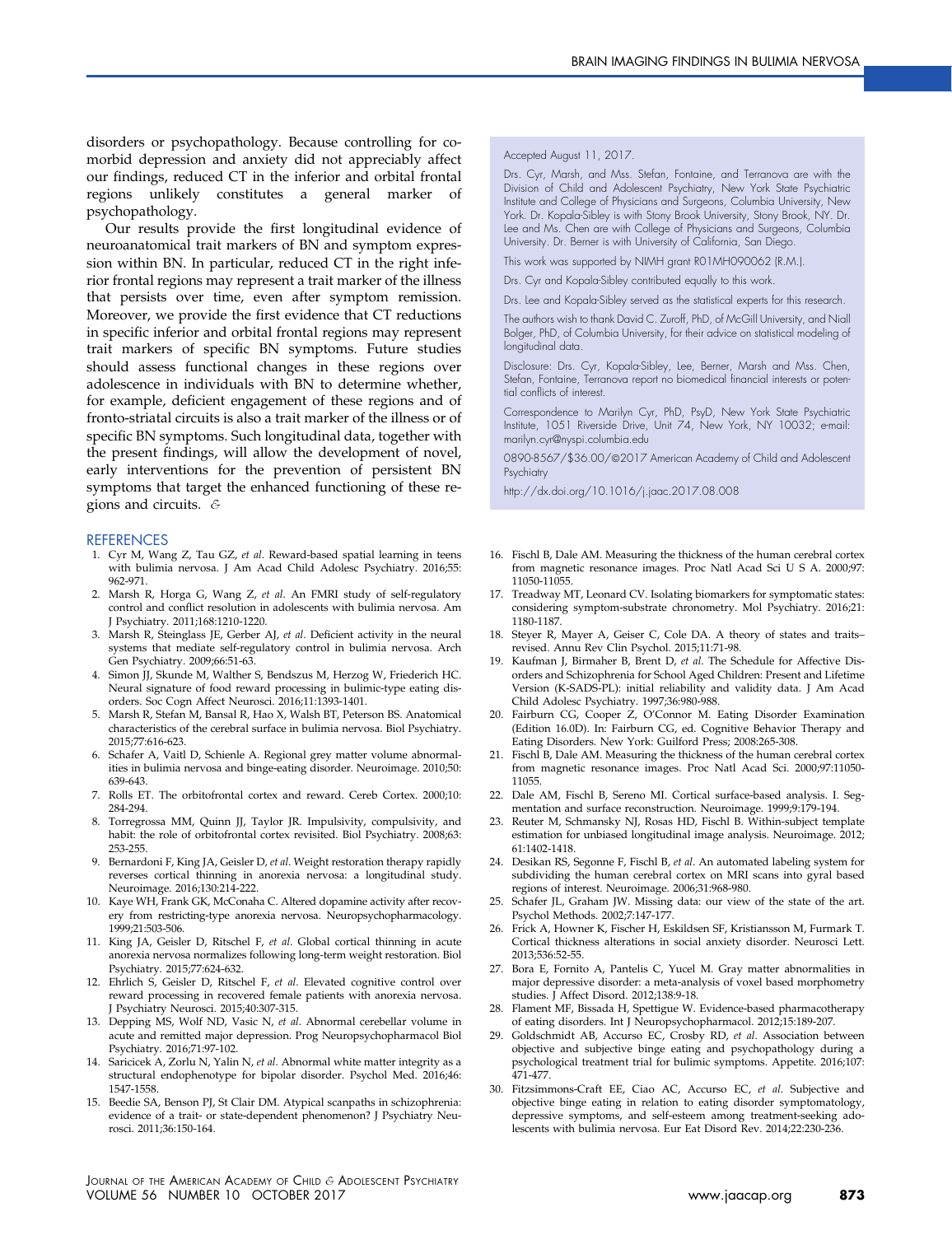<span id="page-7-0"></span>disorders or psychopathology. Because controlling for comorbid depression and anxiety did not appreciably affect our findings, reduced CT in the inferior and orbital frontal regions unlikely constitutes a general marker of psychopathology.

Our results provide the first longitudinal evidence of neuroanatomical trait markers of BN and symptom expression within BN. In particular, reduced CT in the right inferior frontal regions may represent a trait marker of the illness that persists over time, even after symptom remission. Moreover, we provide the first evidence that CT reductions in specific inferior and orbital frontal regions may represent trait markers of specific BN symptoms. Future studies should assess functional changes in these regions over adolescence in individuals with BN to determine whether, for example, deficient engagement of these regions and of fronto-striatal circuits is also a trait marker of the illness or of specific BN symptoms. Such longitudinal data, together with the present findings, will allow the development of novel, early interventions for the prevention of persistent BN symptoms that target the enhanced functioning of these regions and circuits. &

#### **REFERENCES**

- 1. Cyr M, Wang Z, Tau GZ, et al. Reward-based spatial learning in teens with bulimia nervosa. J Am Acad Child Adolesc Psychiatry. 2016;55: 962-971.
- 2. Marsh R, Horga G, Wang Z, et al. An FMRI study of self-regulatory control and conflict resolution in adolescents with bulimia nervosa. Am J Psychiatry. 2011;168:1210-1220.
- 3. Marsh R, Steinglass JE, Gerber AJ, et al. Deficient activity in the neural systems that mediate self-regulatory control in bulimia nervosa. Arch Gen Psychiatry. 2009;66:51-63.
- 4. Simon JJ, Skunde M, Walther S, Bendszus M, Herzog W, Friederich HC. Neural signature of food reward processing in bulimic-type eating disorders. Soc Cogn Affect Neurosci. 2016;11:1393-1401.
- 5. Marsh R, Stefan M, Bansal R, Hao X, Walsh BT, Peterson BS. Anatomical characteristics of the cerebral surface in bulimia nervosa. Biol Psychiatry. 2015;77:616-623.
- 6. Schafer A, Vaitl D, Schienle A. Regional grey matter volume abnormalities in bulimia nervosa and binge-eating disorder. Neuroimage. 2010;50: 639-643.
- 7. Rolls ET. The orbitofrontal cortex and reward. Cereb Cortex. 2000;10: 284-294.
- 8. Torregrossa MM, Quinn JJ, Taylor JR. Impulsivity, compulsivity, and habit: the role of orbitofrontal cortex revisited. Biol Psychiatry. 2008;63:
- 253-255.<br>9. Bernardoni F, King JA, Geisler D*, et al*. Weight restoration therapy rapidly reverses cortical thinning in anorexia nervosa: a longitudinal study. Neuroimage. 2016;130:214-222.
- 10. Kaye WH, Frank GK, McConaha C. Altered dopamine activity after recovery from restricting-type anorexia nervosa. Neuropsychopharmacology. 1999;21:503-506.
- 11. King JA, Geisler D, Ritschel F, et al. Global cortical thinning in acute anorexia nervosa normalizes following long-term weight restoration. Biol Psychiatry. 2015;77:624-632.
- 12. Ehrlich S, Geisler D, Ritschel F, et al. Elevated cognitive control over reward processing in recovered female patients with anorexia nervosa. J Psychiatry Neurosci. 2015;40:307-315.
- 13. Depping MS, Wolf ND, Vasic N, et al. Abnormal cerebellar volume in acute and remitted major depression. Prog Neuropsychopharmacol Biol Psychiatry. 2016;71:97-102.
- 14. Saricicek A, Zorlu N, Yalin N, et al. Abnormal white matter integrity as a structural endophenotype for bipolar disorder. Psychol Med. 2016;46: 1547-1558.
- 15. Beedie SA, Benson PJ, St Clair DM. Atypical scanpaths in schizophrenia: evidence of a trait- or state-dependent phenomenon? J Psychiatry Neurosci. 2011;36:150-164.

#### Accepted August 11, 2017.

Drs. Cyr, Marsh, and Mss. Stefan, Fontaine, and Terranova are with the Division of Child and Adolescent Psychiatry, New York State Psychiatric Institute and College of Physicians and Surgeons, Columbia University, New York. Dr. Kopala-Sibley is with Stony Brook University, Stony Brook, NY. Dr. Lee and Ms. Chen are with College of Physicians and Surgeons, Columbia University. Dr. Berner is with University of California, San Diego.

This work was supported by NIMH grant R01MH090062 (R.M.).

Drs. Cyr and Kopala-Sibley contributed equally to this work.

Drs. Lee and Kopala-Sibley served as the statistical experts for this research.

The authors wish to thank David C. Zuroff, PhD, of McGill University, and Niall Bolger, PhD, of Columbia University, for their advice on statistical modeling of longitudinal data.

Disclosure: Drs. Cyr, Kopala-Sibley, Lee, Berner, Marsh and Mss. Chen, Stefan, Fontaine, Terranova report no biomedical financial interests or potential conflicts of interest.

Correspondence to Marilyn Cyr, PhD, PsyD, New York State Psychiatric Institute, 1051 Riverside Drive, Unit 74, New York, NY 10032; e-mail: [marilyn.cyr@nyspi.columbia.edu](mailto:marilyn.cyr@nyspi.columbia.edu)

0890-8567/\$36.00/@2017 American Academy of Child and Adolescent Psychiatry

<http://dx.doi.org/10.1016/j.jaac.2017.08.008>

- 16. Fischl B, Dale AM. Measuring the thickness of the human cerebral cortex from magnetic resonance images. Proc Natl Acad Sci U S A. 2000;97: 11050-11055.
- 17. Treadway MT, Leonard CV. Isolating biomarkers for symptomatic states: considering symptom-substrate chronometry. Mol Psychiatry. 2016;21: 1180-1187.
- 18. Steyer R, Mayer A, Geiser C, Cole DA. A theory of states and traits– revised. Annu Rev Clin Psychol. 2015;11:71-98.
- 19. Kaufman J, Birmaher B, Brent D, et al. The Schedule for Affective Disorders and Schizophrenia for School Aged Children: Present and Lifetime Version (K-SADS-PL): initial reliability and validity data. J Am Acad Child Adolesc Psychiatry. 1997;36:980-988.
- 20. Fairburn CG, Cooper Z, O'Connor M. Eating Disorder Examination (Edition 16.0D). In: Fairburn CG, ed. Cognitive Behavior Therapy and Eating Disorders. New York: Guilford Press; 2008:265-308.
- 21. Fischl B, Dale AM. Measuring the thickness of the human cerebral cortex from magnetic resonance images. Proc Natl Acad Sci. 2000;97:11050- 11055.
- 22. Dale AM, Fischl B, Sereno MI. Cortical surface-based analysis. I. Segmentation and surface reconstruction. Neuroimage. 1999;9:179-194.
- 23. Reuter M, Schmansky NJ, Rosas HD, Fischl B. Within-subject template estimation for unbiased longitudinal image analysis. Neuroimage. 2012; 61:1402-1418.
- 24. Desikan RS, Segonne F, Fischl B, et al. An automated labeling system for subdividing the human cerebral cortex on MRI scans into gyral based regions of interest. Neuroimage. 2006;31:968-980.
- 25. Schafer JL, Graham JW. Missing data: our view of the state of the art. Psychol Methods. 2002;7:147-177.
- 26. Frick A, Howner K, Fischer H, Eskildsen SF, Kristiansson M, Furmark T. Cortical thickness alterations in social anxiety disorder. Neurosci Lett. 2013;536:52-55.
- 27. Bora E, Fornito A, Pantelis C, Yucel M. Gray matter abnormalities in major depressive disorder: a meta-analysis of voxel based morphometry studies. J Affect Disord. 2012;138:9-18.
- 28. Flament MF, Bissada H, Spettigue W. Evidence-based pharmacotherapy
- of eating disorders. Int J Neuropsychopharmacol. 2012;15:189-207. 29. Goldschmidt AB, Accurso EC, Crosby RD, et al. Association between objective and subjective binge eating and psychopathology during a psychological treatment trial for bulimic symptoms. Appetite. 2016;107: 471-477.
- 30. Fitzsimmons-Craft EE, Ciao AC, Accurso EC, et al. Subjective and objective binge eating in relation to eating disorder symptomatology, depressive symptoms, and self-esteem among treatment-seeking adolescents with bulimia nervosa. Eur Eat Disord Rev. 2014;22:230-236.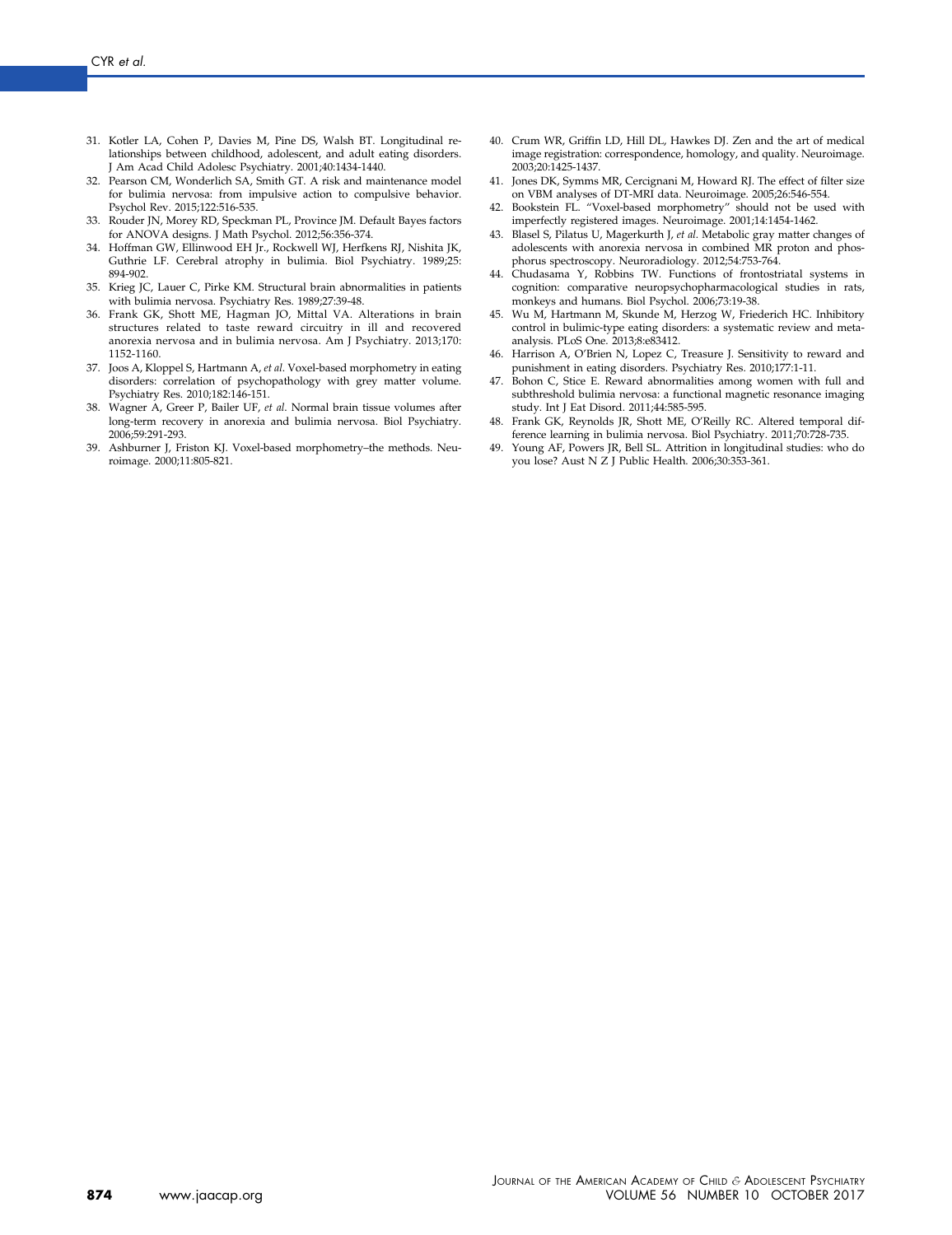- <span id="page-8-0"></span>31. Kotler LA, Cohen P, Davies M, Pine DS, Walsh BT. Longitudinal relationships between childhood, adolescent, and adult eating disorders. J Am Acad Child Adolesc Psychiatry. 2001;40:1434-1440.
- 32. Pearson CM, Wonderlich SA, Smith GT. A risk and maintenance model for bulimia nervosa: from impulsive action to compulsive behavior. Psychol Rev. 2015;122:516-535.
- 33. Rouder JN, Morey RD, Speckman PL, Province JM. Default Bayes factors for ANOVA designs. J Math Psychol. 2012;56:356-374.
- 34. Hoffman GW, Ellinwood EH Jr., Rockwell WJ, Herfkens RJ, Nishita JK, Guthrie LF. Cerebral atrophy in bulimia. Biol Psychiatry. 1989;25: 894-902.
- 35. Krieg JC, Lauer C, Pirke KM. Structural brain abnormalities in patients with bulimia nervosa. Psychiatry Res. 1989;27:39-48.
- 36. Frank GK, Shott ME, Hagman JO, Mittal VA. Alterations in brain structures related to taste reward circuitry in ill and recovered anorexia nervosa and in bulimia nervosa. Am J Psychiatry. 2013;170: 1152-1160.
- 37. Joos A, Kloppel S, Hartmann A, et al. Voxel-based morphometry in eating disorders: correlation of psychopathology with grey matter volume. Psychiatry Res. 2010;182:146-151.
- 38. Wagner A, Greer P, Bailer UF, et al. Normal brain tissue volumes after long-term recovery in anorexia and bulimia nervosa. Biol Psychiatry. 2006;59:291-293.
- 39. Ashburner J, Friston KJ. Voxel-based morphometry–the methods. Neuroimage. 2000;11:805-821.
- 40. Crum WR, Griffin LD, Hill DL, Hawkes DJ. Zen and the art of medical image registration: correspondence, homology, and quality. Neuroimage. 2003;20:1425-1437.
- 41. Jones DK, Symms MR, Cercignani M, Howard RJ. The effect of filter size on VBM analyses of DT-MRI data. Neuroimage. 2005;26:546-554.
- 42. Bookstein FL. "Voxel-based morphometry" should not be used with imperfectly registered images. Neuroimage. 2001;14:1454-1462.
- 43. Blasel S, Pilatus U, Magerkurth J, et al. Metabolic gray matter changes of adolescents with anorexia nervosa in combined MR proton and phosphorus spectroscopy. Neuroradiology. 2012;54:753-764.
- 44. Chudasama Y, Robbins TW. Functions of frontostriatal systems in cognition: comparative neuropsychopharmacological studies in rats, monkeys and humans. Biol Psychol. 2006;73:19-38.
- 45. Wu M, Hartmann M, Skunde M, Herzog W, Friederich HC. Inhibitory control in bulimic-type eating disorders: a systematic review and metaanalysis. PLoS One. 2013;8:e83412.
- 46. Harrison A, O'Brien N, Lopez C, Treasure J. Sensitivity to reward and punishment in eating disorders. Psychiatry Res. 2010;177:1-11.
- 47. Bohon C, Stice E. Reward abnormalities among women with full and subthreshold bulimia nervosa: a functional magnetic resonance imaging study. Int J Eat Disord. 2011;44:585-595.
- 48. Frank GK, Reynolds JR, Shott ME, O'Reilly RC. Altered temporal difference learning in bulimia nervosa. Biol Psychiatry. 2011;70:728-735.
- 49. Young AF, Powers JR, Bell SL. Attrition in longitudinal studies: who do you lose? Aust N Z J Public Health. 2006;30:353-361.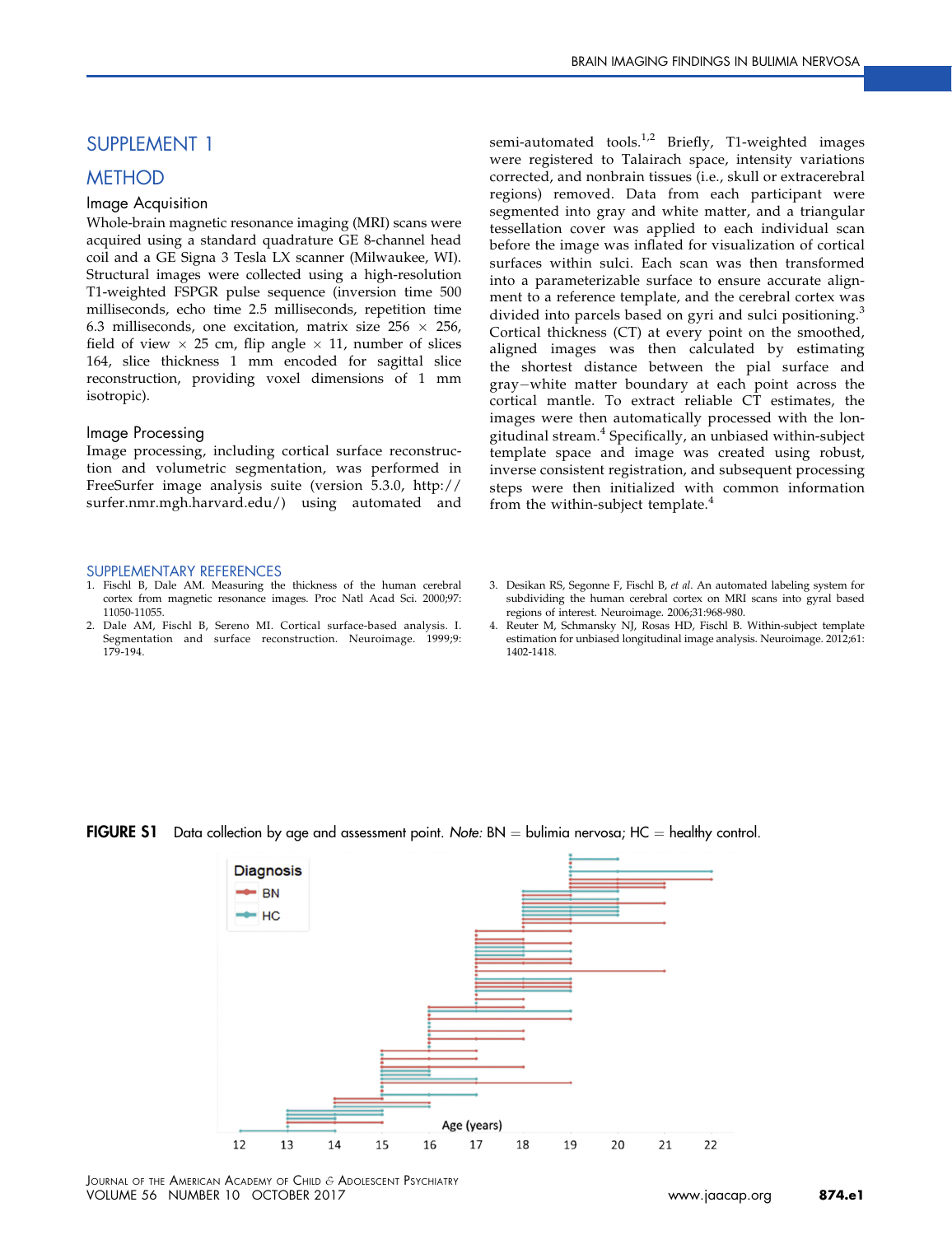## <span id="page-9-0"></span>SUPPLEMENT 1

## **METHOD**

### Image Acquisition

Whole-brain magnetic resonance imaging (MRI) scans were acquired using a standard quadrature GE 8-channel head coil and a GE Signa 3 Tesla LX scanner (Milwaukee, WI). Structural images were collected using a high-resolution T1-weighted FSPGR pulse sequence (inversion time 500 milliseconds, echo time 2.5 milliseconds, repetition time 6.3 milliseconds, one excitation, matrix size  $256 \times 256$ , field of view  $\times$  25 cm, flip angle  $\times$  11, number of slices 164, slice thickness 1 mm encoded for sagittal slice reconstruction, providing voxel dimensions of 1 mm isotropic).

### Image Processing

Image processing, including cortical surface reconstruction and volumetric segmentation, was performed in FreeSurfer image analysis suite (version 5.3.0, [http://](http://surfer.nmr.mgh.harvard.edu/) [surfer.nmr.mgh.harvard.edu/](http://surfer.nmr.mgh.harvard.edu/)) using automated and

#### SUPPLEMENTARY REFERENCES

- 1. Fischl B, Dale AM. Measuring the thickness of the human cerebral cortex from magnetic resonance images. Proc Natl Acad Sci. 2000;97: 11050-11055.
- 2. Dale AM, Fischl B, Sereno MI. Cortical surface-based analysis. I. Segmentation and surface reconstruction. Neuroimage. 1999;9: 179-194.

semi-automated tools.<sup>[1,2](#page-7-0)</sup> Briefly, T1-weighted images were registered to Talairach space, intensity variations corrected, and nonbrain tissues (i.e., skull or extracerebral regions) removed. Data from each participant were segmented into gray and white matter, and a triangular tessellation cover was applied to each individual scan before the image was inflated for visualization of cortical surfaces within sulci. Each scan was then transformed into a parameterizable surface to ensure accurate alignment to a reference template, and the cerebral cortex was divided into parcels based on gyri and sulci positioning.<sup>[3](#page-7-0)</sup> Cortical thickness (CT) at every point on the smoothed, aligned images was then calculated by estimating the shortest distance between the pial surface and gray-white matter boundary at each point across the cortical mantle. To extract reliable CT estimates, the images were then automatically processed with the longitudinal stream.[4](#page-7-0) Specifically, an unbiased within-subject template space and image was created using robust, inverse consistent registration, and subsequent processing steps were then initialized with common information from the within-subject template.<sup>[4](#page-7-0)</sup>

- 3. Desikan RS, Segonne F, Fischl B, et al. An automated labeling system for subdividing the human cerebral cortex on MRI scans into gyral based regions of interest. Neuroimage. 2006;31:968-980.
- 4. Reuter M, Schmansky NJ, Rosas HD, Fischl B. Within-subject template estimation for unbiased longitudinal image analysis. Neuroimage. 2012;61: 1402-1418.

## **FIGURE S1** Data collection by age and assessment point. Note:  $BN =$  bulimia nervosa; HC  $=$  healthy control.



JOURNAL OF THE AMERICAN ACADEMY OF CHILD & ADOLESCENT PSYCHIATRY VOLUME 56 NUMBER 10 OCTOBER 2017 **[www.jaacap.org](http://www.jaacap.org) 874.e1**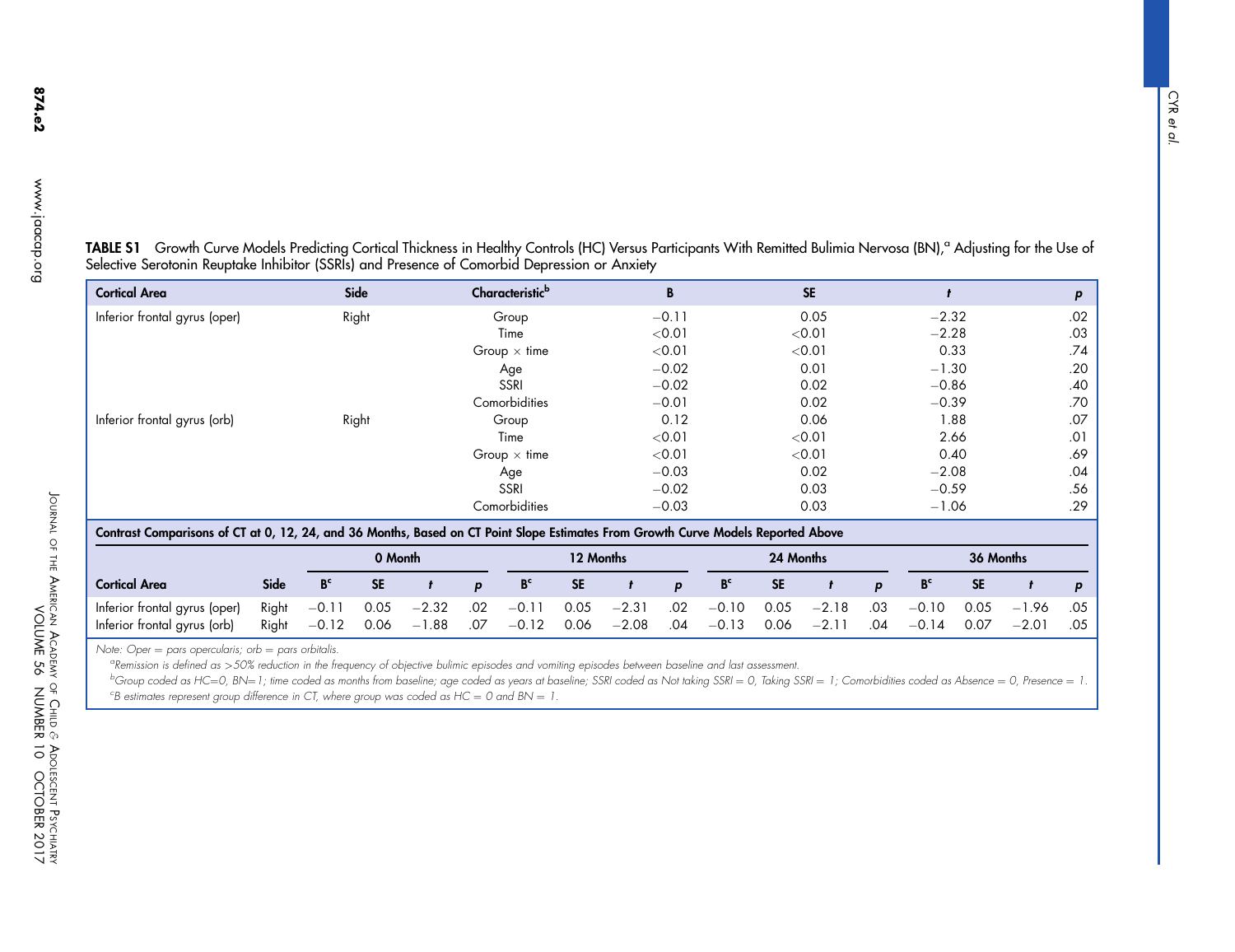| <b>Cortical Area</b>                                                                                                              |      |                | Side      |   | Characteristic <sup>b</sup> |           | B       |                |           | <b>SE</b> |   |                |           |           | p   |
|-----------------------------------------------------------------------------------------------------------------------------------|------|----------------|-----------|---|-----------------------------|-----------|---------|----------------|-----------|-----------|---|----------------|-----------|-----------|-----|
| Inferior frontal gyrus (oper)                                                                                                     |      |                | Right     |   | Group                       |           | $-0.11$ |                |           | 0.05      |   | $-2.32$        |           |           | .02 |
|                                                                                                                                   |      |                |           |   | Time                        |           | < 0.01  |                |           | < 0.01    |   | $-2.28$        |           |           | .03 |
|                                                                                                                                   |      |                |           |   | Group $\times$ time         |           | < 0.01  |                |           | < 0.01    |   |                | 0.33      |           | .74 |
|                                                                                                                                   |      |                |           |   | Age                         |           | $-0.02$ |                |           | 0.01      |   | $-1.30$        |           |           | .20 |
|                                                                                                                                   |      |                |           |   | <b>SSRI</b>                 |           | $-0.02$ |                |           | 0.02      |   | $-0.86$        |           |           | .40 |
|                                                                                                                                   |      |                |           |   | Comorbidities               |           | $-0.01$ |                |           | 0.02      |   | $-0.39$        |           |           | .70 |
| Inferior frontal gyrus (orb)                                                                                                      |      |                | Right     |   | Group                       |           | 0.12    |                |           | 0.06      |   |                | 1.88      |           | .07 |
|                                                                                                                                   |      |                |           |   | Time                        |           | < 0.01  |                |           | < 0.01    |   |                | 2.66      |           | .01 |
|                                                                                                                                   |      |                |           |   | Group $\times$ time         |           | < 0.01  |                |           | < 0.01    |   |                | 0.40      |           | .69 |
|                                                                                                                                   |      |                |           |   | Age                         |           | $-0.03$ |                |           | 0.02      |   | $-2.08$        |           |           | .04 |
|                                                                                                                                   |      |                |           |   | <b>SSRI</b>                 |           | $-0.02$ |                |           | 0.03      |   | $-0.59$        |           |           | .56 |
|                                                                                                                                   |      |                |           |   | Comorbidities               |           | $-0.03$ |                |           | 0.03      |   | $-1.06$        |           |           | .29 |
| Contrast Comparisons of CT at 0, 12, 24, and 36 Months, Based on CT Point Slope Estimates From Growth Curve Models Reported Above |      |                |           |   |                             |           |         |                |           |           |   |                |           |           |     |
|                                                                                                                                   |      |                | 0 Month   |   |                             | 12 Months |         |                | 24 Months |           |   |                |           | 36 Months |     |
| <b>Cortical Area</b>                                                                                                              | Side | B <sup>c</sup> | <b>SE</b> | D | B <sup>c</sup>              | <b>SE</b> | p       | B <sub>c</sub> | <b>SE</b> |           | p | B <sup>c</sup> | <b>SE</b> |           | p   |

<span id="page-10-0"></span>TABLE S1 Growth Curve Models Predicting Cortical Thickness in Healthy Controls (HC) Versus Participants With Remitted Bulimia Nervosa (BN),<sup>a</sup> Adjusting for the Use of Selective Serotonin Reuptake Inhibitor (SSRIs) and Presence of Comorbid Depression or Anxiety

Note: Oper = pars opercularis; orb = pars orbitalis.

Inferior frontal gyrus (oper) Right

Inferior frontal gyrus (orb) Right

<sup>a</sup>Remission is defined as >50% reduction in the frequency of objective bulimic episodes and vomiting episodes between baseline and last assessment.

 $-1.88$  .07

 $.02$ 

 $-0.11$ 

 $-0.12$  0.06

 $-2.32$ 

 $-0.11$  0.05

 $-0.12$ 

 $^{\rm b}$ Group coded as HC=0, BN=1; time coded as months from baseline; age coded as years at baseline; SSRI coded as Not taking SSRI = 0, Taking SSRI = 1; Comorbidities coded as Absence = 0, Presence = 1.  $^\mathsf{c}$ B estimates represent group difference in CT, where group was coded as HC  $=$  0 and BN  $=$  1.

 $-2.31$ 

 $-2.08$  .04

 $.02$ 

 $-0.10$ 

 $-0.13$  0.06

0.05

 $-2.18$ 

 $-2.11$  .04

.03

 $-0.10$ 

 $-0.14$  0.07

0.05

 $-1.96$ 

 $-2.01$  .05

.05

 $0.05$ 

JOURNAL OF THE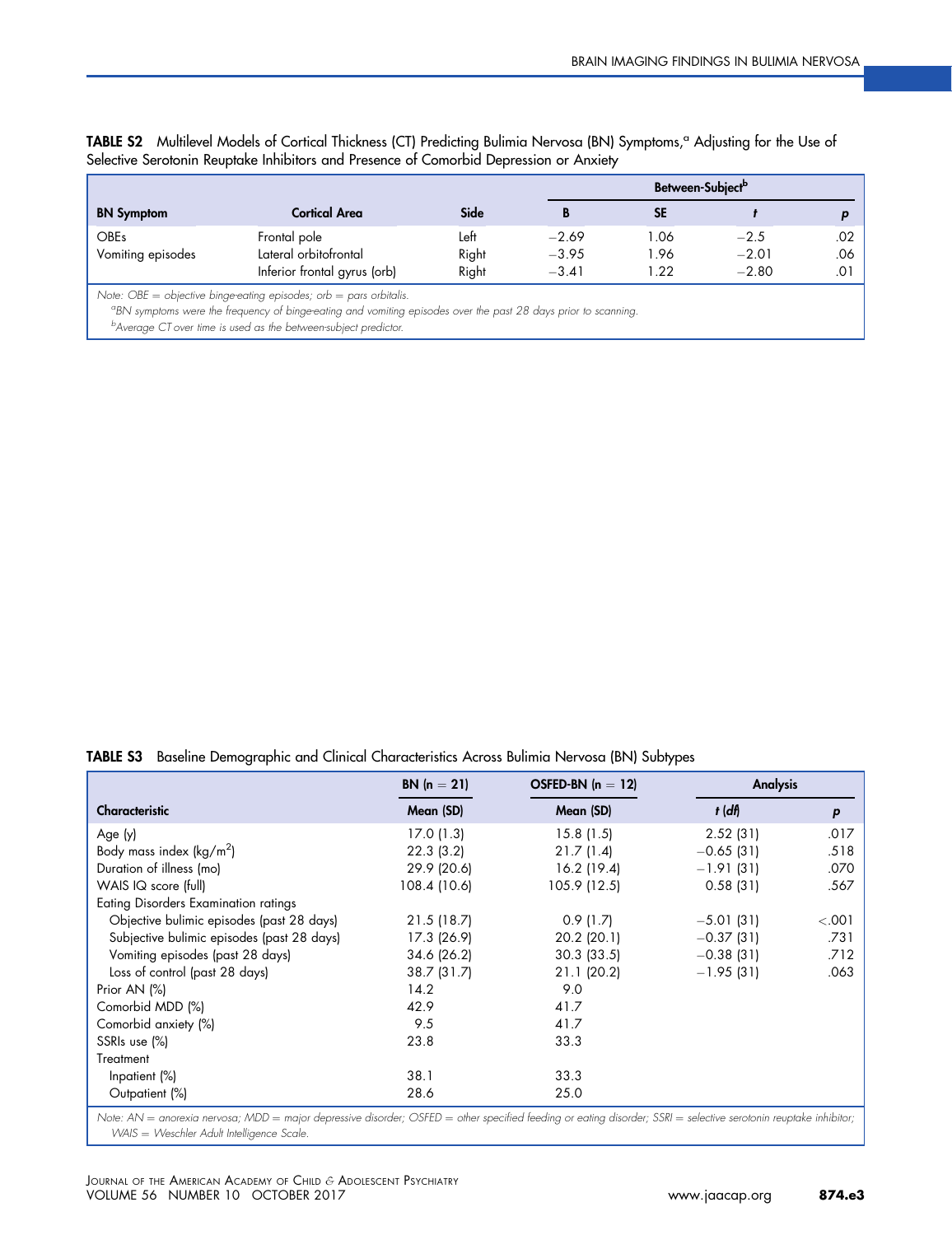<span id="page-11-0"></span>

| TABLE S2 Multilevel Models of Cortical Thickness (CT) Predicting Bulimia Nervosa (BN) Symptoms, <sup>a</sup> Adjusting for the Use of<br>Selective Serotonin Reuptake Inhibitors and Presence of Comorbid Depression or Anxiety |
|---------------------------------------------------------------------------------------------------------------------------------------------------------------------------------------------------------------------------------|
| Between-Subject <sup>b</sup>                                                                                                                                                                                                    |

|                   |                                                                                                                |       |         | <b>DEIMEEIL JUDIECI</b> |         |     |
|-------------------|----------------------------------------------------------------------------------------------------------------|-------|---------|-------------------------|---------|-----|
| <b>BN</b> Symptom | <b>Cortical Area</b>                                                                                           | Side  |         |                         |         |     |
| <b>OBEs</b>       | Frontal pole                                                                                                   | Left  | $-2.69$ | l.06                    | $-2.5$  | .02 |
| Vomiting episodes | Lateral orbitofrontal                                                                                          | Right | $-3.95$ | 1.96                    | $-2.01$ | .06 |
|                   | Inferior frontal gyrus (orb)                                                                                   | Right | $-3.41$ | $\overline{22}$         | $-2.80$ | .01 |
|                   | Note: OBE = objective binge-eating episodes; orb = pars orbitalis.                                             |       |         |                         |         |     |
|                   | "BN symptoms were the frequency of binge-eating and vomiting episodes over the past 28 days prior to scanning. |       |         |                         |         |     |

<sup>b</sup>Average CT over time is used as the between-subject predictor.

TABLE S3 Baseline Demographic and Clinical Characteristics Across Bulimia Nervosa (BN) Subtypes

|                                             | <b>BN</b> $(n = 21)$ | OSFED-BN $(n = 12)$ | <b>Analysis</b> |         |
|---------------------------------------------|----------------------|---------------------|-----------------|---------|
| Characteristic                              | Mean (SD)            | Mean (SD)           | $t$ (df)        | p       |
| Age (y)                                     | 17.0(1.3)            | 15.8(1.5)           | 2.52(31)        | .017    |
| Body mass index $(kg/m2)$                   | 22.3(3.2)            | 21.7(1.4)           | $-0.65(31)$     | .518    |
| Duration of illness (mo)                    | 29.9 (20.6)          | 16.2 (19.4)         | $-1.91(31)$     | .070    |
| WAIS IQ score (full)                        | 108.4 (10.6)         | 105.9 (12.5)        | 0.58(31)        | .567    |
| <b>Eating Disorders Examination ratings</b> |                      |                     |                 |         |
| Objective bulimic episodes (past 28 days)   | 21.5(18.7)           | 0.9(1.7)            | $-5.01(31)$     | < 0.001 |
| Subjective bulimic episodes (past 28 days)  | 17.3(26.9)           | $20.2$ (20.1)       | $-0.37(31)$     | .731    |
| Vomiting episodes (past 28 days)            | 34.6 (26.2)          | $30.3$ (33.5)       | $-0.38(31)$     | .712    |
| Loss of control (past 28 days)              | 38.7(31.7)           | 21.1(20.2)          | $-1.95(31)$     | .063    |
| Prior AN (%)                                | 14.2                 | 9.0                 |                 |         |
| Comorbid MDD (%)                            | 42.9                 | 41.7                |                 |         |
| Comorbid anxiety (%)                        | 9.5                  | 41.7                |                 |         |
| SSRIs use (%)                               | 23.8                 | 33.3                |                 |         |
| Treatment                                   |                      |                     |                 |         |
| Inpatient (%)                               | 38.1                 | 33.3                |                 |         |
| Outpatient (%)                              | 28.6                 | 25.0                |                 |         |

Note: AN = anorexia nervosa; MDD = major depressive disorder; OSFED = other specified feeding or eating disorder; SSRI = selective serotonin reuptake inhibitor; WAIS = Weschler Adult Intelligence Scale.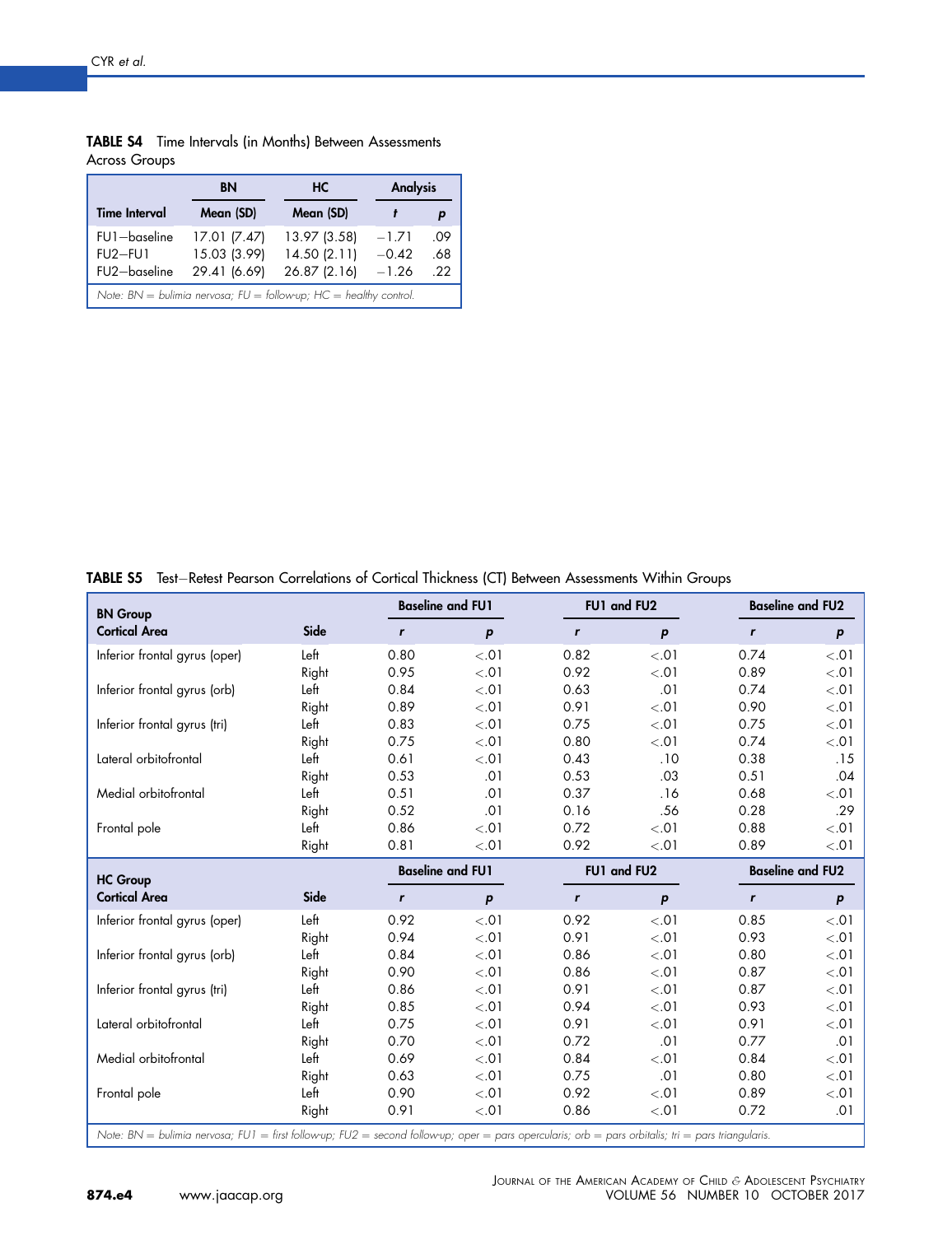|                                           | BN                                           | HС                                                                      | <b>Analysis</b>               |                   |
|-------------------------------------------|----------------------------------------------|-------------------------------------------------------------------------|-------------------------------|-------------------|
| <b>Time Interval</b>                      | Mean (SD)                                    | Mean (SD)                                                               |                               |                   |
| FU1-baseline<br>$FU2-FUI$<br>FU2-baseline | 17.01 (7.47)<br>15.03 (3.99)<br>29.41 (6.69) | 13.97 (3.58)<br>14.50(2.11)<br>26.87 (2.16)                             | $-1.71$<br>$-0.42$<br>$-1.26$ | .09<br>.68<br>-22 |
|                                           |                                              | Note: $BN =$ bulimia nervosa; $FU =$ follow-up; $HC =$ healthy control. |                               |                   |

<span id="page-12-0"></span>TABLE S4 Time Intervals (in Months) Between Assessments Across Groups

| TABLE S5 Test-Retest Pearson Correlations of Cortical Thickness (CT) Between Assessments Within Groups |  |
|--------------------------------------------------------------------------------------------------------|--|
|--------------------------------------------------------------------------------------------------------|--|

| <b>BN</b> Group                                                                                                                                    |       |              | <b>Baseline and FU1</b> | FU1 and FU2  |                  | <b>Baseline and FU2</b> |                  |
|----------------------------------------------------------------------------------------------------------------------------------------------------|-------|--------------|-------------------------|--------------|------------------|-------------------------|------------------|
| <b>Cortical Area</b>                                                                                                                               | Side  | $\mathbf{r}$ | $\boldsymbol{p}$        | $\mathbf{r}$ | $\boldsymbol{p}$ | $\mathbf{r}$            | p                |
| Inferior frontal gyrus (oper)                                                                                                                      | Left  | 0.80         | < .01                   | 0.82         | < .01            | 0.74                    | < .01            |
|                                                                                                                                                    | Right | 0.95         | < .01                   | 0.92         | < .01            | 0.89                    | < .01            |
| Inferior frontal gyrus (orb)                                                                                                                       | Left  | 0.84         | < .01                   | 0.63         | .01              | 0.74                    | < .01            |
|                                                                                                                                                    | Right | 0.89         | < .01                   | 0.91         | < 0.01           | 0.90                    | < .01            |
| Inferior frontal gyrus (tri)                                                                                                                       | Left  | 0.83         | < .01                   | 0.75         | < .01            | 0.75                    | < 01             |
|                                                                                                                                                    | Right | 0.75         | < .01                   | 0.80         | < .01            | 0.74                    | < .01            |
| Lateral orbitofrontal                                                                                                                              | Left  | 0.61         | < .01                   | 0.43         | .10              | 0.38                    | .15              |
|                                                                                                                                                    | Right | 0.53         | .01                     | 0.53         | .03              | 0.51                    | .04              |
| Medial orbitofrontal                                                                                                                               | Left  | 0.51         | .01                     | 0.37         | .16              | 0.68                    | < .01            |
|                                                                                                                                                    | Right | 0.52         | .01                     | 0.16         | .56              | 0.28                    | .29              |
| Frontal pole                                                                                                                                       | Left  | 0.86         | < .01                   | 0.72         | < 0.01           | 0.88                    | < 01             |
|                                                                                                                                                    | Right | 0.81         | < .01                   | 0.92         | < .01            | 0.89                    | < .01            |
| <b>HC Group</b>                                                                                                                                    |       |              | <b>Baseline and FU1</b> | FU1 and FU2  |                  | <b>Baseline and FU2</b> |                  |
| <b>Cortical Area</b>                                                                                                                               | Side  | $\mathbf{r}$ | $\boldsymbol{p}$        | $\mathbf{r}$ | $\boldsymbol{p}$ | r                       | $\boldsymbol{p}$ |
| Inferior frontal gyrus (oper)                                                                                                                      | Left  | 0.92         | < .01                   | 0.92         | < .01            | 0.85                    | < .01            |
|                                                                                                                                                    | Right | 0.94         | < .01                   | 0.91         | < 0.01           | 0.93                    | < .01            |
| Inferior frontal gyrus (orb)                                                                                                                       | Left  | 0.84         | < .01                   | 0.86         | < 0.01           | 0.80                    | < .01            |
|                                                                                                                                                    | Right | 0.90         | < .01                   | 0.86         | < 0.01           | 0.87                    | < 0.01           |
| Inferior frontal gyrus (tri)                                                                                                                       | Left  | 0.86         | < .01                   | 0.91         | < 0.01           | 0.87                    | < .01            |
|                                                                                                                                                    | Right | 0.85         | < .01                   | 0.94         | < 0.01           | 0.93                    | < .01            |
| Lateral orbitofrontal                                                                                                                              | Left  | 0.75         | < 0.01                  | 0.91         | < .01            | 0.91                    | < .01            |
|                                                                                                                                                    | Right | 0.70         | < .01                   | 0.72         | .01              | 0.77                    | .01              |
| Medial orbitofrontal                                                                                                                               | Left  | 0.69         | < .01                   | 0.84         | < .01            | 0.84                    | < .01            |
|                                                                                                                                                    | Right | 0.63         | < .01                   | 0.75         | .01              | 0.80                    | < .01            |
| Frontal pole                                                                                                                                       | Left  | 0.90         | < .01                   | 0.92         | < .01            | 0.89                    | < 0.01           |
|                                                                                                                                                    | Right | 0.91         | < .01                   | 0.86         | < 0.01           | 0.72                    | .01              |
| Note: BN = bulimia nervosa; FU1 = first follow-up; FU2 = second follow-up; oper = pars opercularis; orb = pars orbitalis; tri = pars triangularis. |       |              |                         |              |                  |                         |                  |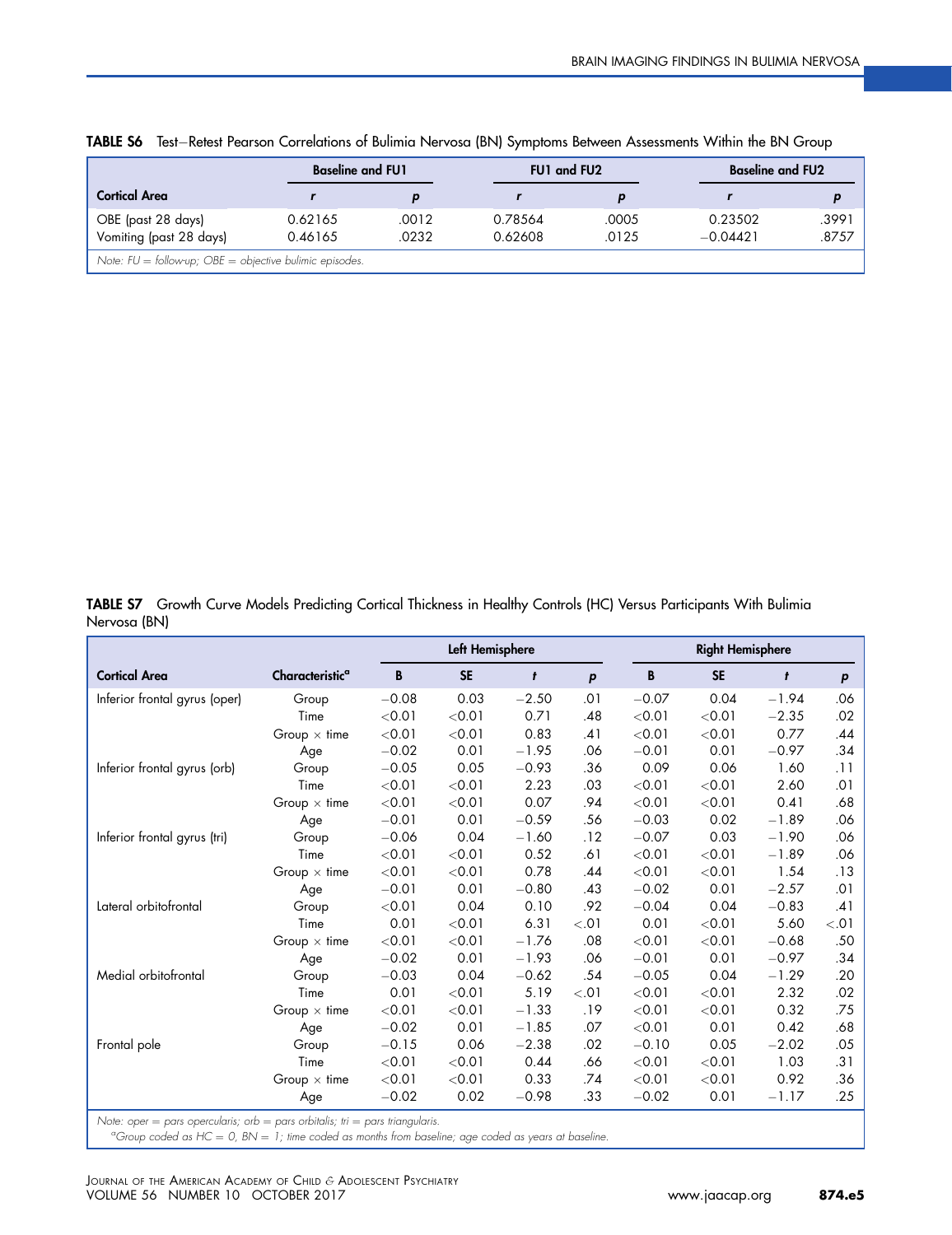|                                                             | <b>Baseline and FU1</b> |       | <b>FU1 and FU2</b> |       | <b>Baseline and FU2</b> |       |  |
|-------------------------------------------------------------|-------------------------|-------|--------------------|-------|-------------------------|-------|--|
| Cortical Area                                               |                         |       |                    |       |                         |       |  |
| OBE (past 28 days)                                          | 0.62165                 | .0012 | 0.78564            | .0005 | 0.23502                 | .3991 |  |
| Vomiting (past 28 days)                                     | 0.46165                 | .0232 | 0.62608            | .0125 | $-0.04421$              | .8757 |  |
| Note: $FU =$ follow-up; $OBE =$ objective bulimic episodes. |                         |       |                    |       |                         |       |  |

<span id="page-13-0"></span>TABLE S6 Test-Retest Pearson Correlations of Bulimia Nervosa (BN) Symptoms Between Assessments Within the BN Group

TABLE S7 Growth Curve Models Predicting Cortical Thickness in Healthy Controls (HC) Versus Participants With Bulimia Nervosa (BN)

|                                                                                            |                             |         | Left Hemisphere |         |        | <b>Right Hemisphere</b> |           |         |                  |
|--------------------------------------------------------------------------------------------|-----------------------------|---------|-----------------|---------|--------|-------------------------|-----------|---------|------------------|
| <b>Cortical Area</b>                                                                       | Characteristic <sup>a</sup> | B       | <b>SE</b>       | t       | p      | B                       | <b>SE</b> | t       | $\boldsymbol{p}$ |
| Inferior frontal gyrus (oper)                                                              | Group                       | $-0.08$ | 0.03            | $-2.50$ | .01    | $-0.07$                 | 0.04      | $-1.94$ | .06              |
|                                                                                            | Time                        | < 0.01  | < 0.01          | 0.71    | .48    | < 0.01                  | < 0.01    | $-2.35$ | .02              |
|                                                                                            | Group $\times$ time         | < 0.01  | < 0.01          | 0.83    | .41    | < 0.01                  | < 0.01    | 0.77    | .44              |
|                                                                                            | Age                         | $-0.02$ | 0.01            | $-1.95$ | .06    | $-0.01$                 | 0.01      | $-0.97$ | .34              |
| Inferior frontal gyrus (orb)                                                               | Group                       | $-0.05$ | 0.05            | $-0.93$ | .36    | 0.09                    | 0.06      | 1.60    | .11              |
|                                                                                            | Time                        | < 0.01  | < 0.01          | 2.23    | .03    | < 0.01                  | < 0.01    | 2.60    | .01              |
|                                                                                            | Group $\times$ time         | < 0.01  | < 0.01          | 0.07    | .94    | < 0.01                  | < 0.01    | 0.41    | .68              |
|                                                                                            | Age                         | $-0.01$ | 0.01            | $-0.59$ | .56    | $-0.03$                 | 0.02      | $-1.89$ | .06              |
| Inferior frontal gyrus (tri)                                                               | Group                       | $-0.06$ | 0.04            | $-1.60$ | .12    | $-0.07$                 | 0.03      | $-1.90$ | .06              |
|                                                                                            | Time                        | < 0.01  | < 0.01          | 0.52    | .61    | < 0.01                  | < 0.01    | $-1.89$ | .06              |
|                                                                                            | Group $\times$ time         | < 0.01  | < 0.01          | 0.78    | .44    | < 0.01                  | < 0.01    | 1.54    | .13              |
|                                                                                            | Age                         | $-0.01$ | 0.01            | $-0.80$ | .43    | $-0.02$                 | 0.01      | $-2.57$ | .01              |
| Lateral orbitofrontal                                                                      | Group                       | < 0.01  | 0.04            | 0.10    | .92    | $-0.04$                 | 0.04      | $-0.83$ | .41              |
|                                                                                            | Time                        | 0.01    | < 0.01          | 6.31    | < 0.01 | 0.01                    | < 0.01    | 5.60    | < 0.01           |
|                                                                                            | Group $\times$ time         | < 0.01  | < 0.01          | $-1.76$ | .08    | $<$ 0.01                | < 0.01    | $-0.68$ | .50              |
|                                                                                            | Age                         | $-0.02$ | 0.01            | $-1.93$ | .06    | $-0.01$                 | 0.01      | $-0.97$ | .34              |
| Medial orbitofrontal                                                                       | Group                       | $-0.03$ | 0.04            | $-0.62$ | .54    | $-0.05$                 | 0.04      | $-1.29$ | .20              |
|                                                                                            | Time                        | 0.01    | < 0.01          | 5.19    | < .01  | < 0.01                  | < 0.01    | 2.32    | .02              |
|                                                                                            | Group $\times$ time         | < 0.01  | < 0.01          | $-1.33$ | .19    | < 0.01                  | < 0.01    | 0.32    | .75              |
|                                                                                            | Age                         | $-0.02$ | 0.01            | $-1.85$ | .07    | < 0.01                  | 0.01      | 0.42    | .68              |
| Frontal pole                                                                               | Group                       | $-0.15$ | 0.06            | $-2.38$ | .02    | $-0.10$                 | 0.05      | $-2.02$ | .05              |
|                                                                                            | Time                        | < 0.01  | < 0.01          | 0.44    | .66    | < 0.01                  | < 0.01    | 1.03    | .31              |
|                                                                                            | Group $\times$ time         | < 0.01  | < 0.01          | 0.33    | .74    | < 0.01                  | < 0.01    | 0.92    | .36              |
|                                                                                            | Age                         | $-0.02$ | 0.02            | $-0.98$ | .33    | $-0.02$                 | 0.01      | $-1.17$ | .25              |
| Note: oper $=$ pare apercularie: $\alpha r$ $=$ pare exhibitie: tri $=$ pare triangularie. |                             |         |                 |         |        |                         |           |         |                  |

Note: oper = pars opercularis; orb = pars orbitalis; tri = pars triangularis.<br><sup>a</sup>Group coded as HC = 0, BN = 1; time coded as months from baseline; age coded as years at baseline.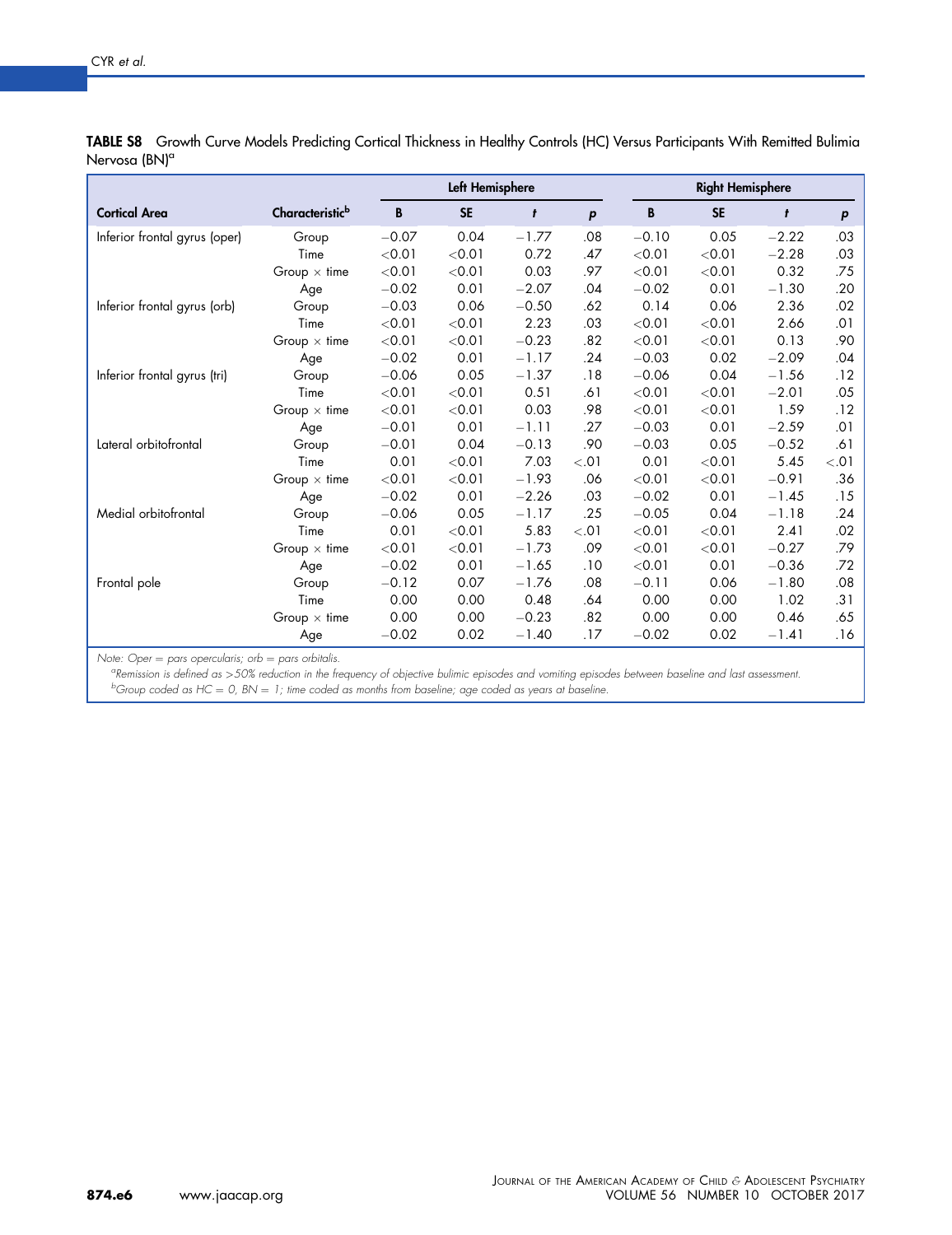|                               |                             |         | Left Hemisphere |         |        | <b>Right Hemisphere</b> |           |         |        |  |
|-------------------------------|-----------------------------|---------|-----------------|---------|--------|-------------------------|-----------|---------|--------|--|
| <b>Cortical Area</b>          | Characteristic <sup>b</sup> | B       | <b>SE</b>       | t       | p      | B                       | <b>SE</b> | t       | P      |  |
| Inferior frontal gyrus (oper) | Group                       | $-0.07$ | 0.04            | $-1.77$ | .08    | $-0.10$                 | 0.05      | $-2.22$ | .03    |  |
|                               | Time                        | < 0.01  | < 0.01          | 0.72    | .47    | < 0.01                  | < 0.01    | $-2.28$ | .03    |  |
|                               | Group $\times$ time         | < 0.01  | < 0.01          | 0.03    | .97    | < 0.01                  | < 0.01    | 0.32    | .75    |  |
|                               | Age                         | $-0.02$ | 0.01            | $-2.07$ | .04    | $-0.02$                 | 0.01      | $-1.30$ | .20    |  |
| Inferior frontal gyrus (orb)  | Group                       | $-0.03$ | 0.06            | $-0.50$ | .62    | 0.14                    | 0.06      | 2.36    | .02    |  |
|                               | Time                        | < 0.01  | < 0.01          | 2.23    | .03    | < 0.01                  | < 0.01    | 2.66    | .01    |  |
|                               | Group $\times$ time         | < 0.01  | < 0.01          | $-0.23$ | .82    | < 0.01                  | < 0.01    | 0.13    | .90    |  |
|                               | Age                         | $-0.02$ | 0.01            | $-1.17$ | .24    | $-0.03$                 | 0.02      | $-2.09$ | .04    |  |
| Inferior frontal gyrus (tri)  | Group                       | $-0.06$ | 0.05            | $-1.37$ | .18    | $-0.06$                 | 0.04      | $-1.56$ | .12    |  |
|                               | Time                        | < 0.01  | < 0.01          | 0.51    | .61    | < 0.01                  | < 0.01    | $-2.01$ | .05    |  |
|                               | Group $\times$ time         | < 0.01  | < 0.01          | 0.03    | .98    | < 0.01                  | < 0.01    | 1.59    | .12    |  |
|                               | Age                         | $-0.01$ | 0.01            | $-1.11$ | .27    | $-0.03$                 | 0.01      | $-2.59$ | .01    |  |
| Lateral orbitofrontal         | Group                       | $-0.01$ | 0.04            | $-0.13$ | .90    | $-0.03$                 | 0.05      | $-0.52$ | .61    |  |
|                               | Time                        | 0.01    | < 0.01          | 7.03    | < 0.01 | 0.01                    | < 0.01    | 5.45    | < 0.01 |  |
|                               | Group $\times$ time         | < 0.01  | < 0.01          | $-1.93$ | .06    | < 0.01                  | < 0.01    | $-0.91$ | .36    |  |
|                               | Age                         | $-0.02$ | 0.01            | $-2.26$ | .03    | $-0.02$                 | 0.01      | $-1.45$ | .15    |  |
| Medial orbitofrontal          | Group                       | $-0.06$ | 0.05            | $-1.17$ | .25    | $-0.05$                 | 0.04      | $-1.18$ | .24    |  |
|                               | Time                        | 0.01    | < 0.01          | 5.83    | < 0.01 | < 0.01                  | < 0.01    | 2.41    | .02    |  |
|                               | Group $\times$ time         | < 0.01  | < 0.01          | $-1.73$ | .09    | < 0.01                  | < 0.01    | $-0.27$ | .79    |  |
|                               | Age                         | $-0.02$ | 0.01            | $-1.65$ | .10    | < 0.01                  | 0.01      | $-0.36$ | .72    |  |
| Frontal pole                  | Group                       | $-0.12$ | 0.07            | $-1.76$ | .08    | $-0.11$                 | 0.06      | $-1.80$ | .08    |  |
|                               | Time                        | 0.00    | 0.00            | 0.48    | .64    | 0.00                    | 0.00      | 1.02    | .31    |  |
|                               | Group $\times$ time         | 0.00    | 0.00            | $-0.23$ | .82    | 0.00                    | 0.00      | 0.46    | .65    |  |
|                               | Age                         | $-0.02$ | 0.02            | $-1.40$ | .17    | $-0.02$                 | 0.02      | $-1.41$ | .16    |  |

<span id="page-14-0"></span>TABLE S8 Growth Curve Models Predicting Cortical Thickness in Healthy Controls (HC) Versus Participants With Remitted Bulimia Nervosa (BN)<sup>a</sup>

Note: Oper  $=$  pars opercularis; orb  $=$  pars orbitalis.

Remission is defined as >50% reduction in the frequency of objective bulimic episodes and vomiting episodes between baseline and last assessment.

 $^{b}$ Group coded as HC = 0, BN = 1; time coded as months from baseline; age coded as years at baseline.